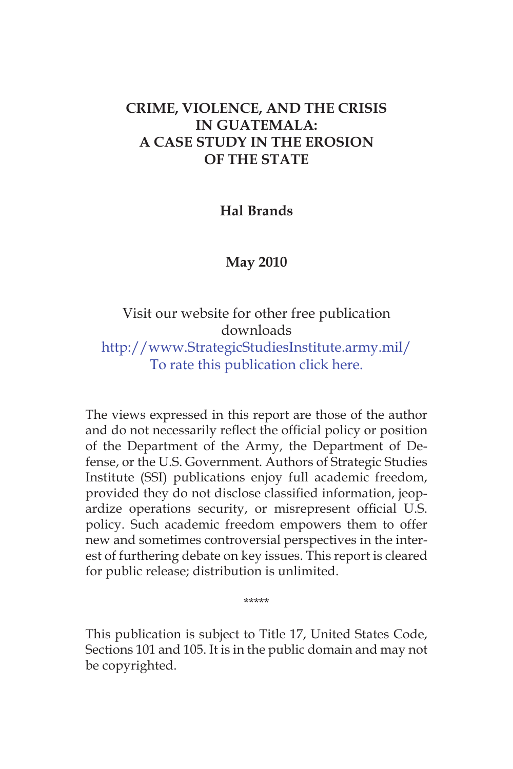# **CRIME, VIOLENCE, AND THE CRISIS IN GUATEMALA: A CASE STUDY IN THE EROSION OF THE STATE**

### **Hal Brands**

# **May 2010**

# Visit our website for other free publication downloads

http://www.StrategicStudiesInstitute.army.mil/ To rate this publication click here.

The views expressed in this report are those of the author and do not necessarily reflect the official policy or position of the Department of the Army, the Department of Defense, or the U.S. Government. Authors of Strategic Studies Institute (SSI) publications enjoy full academic freedom, provided they do not disclose classified information, jeopardize operations security, or misrepresent official U.S. policy. Such academic freedom empowers them to offer new and sometimes controversial perspectives in the interest of furthering debate on key issues. This report is cleared for public release; distribution is unlimited.

\*\*\*\*\*

This publication is subject to Title 17, United States Code, Sections 101 and 105. It is in the public domain and may not be copyrighted.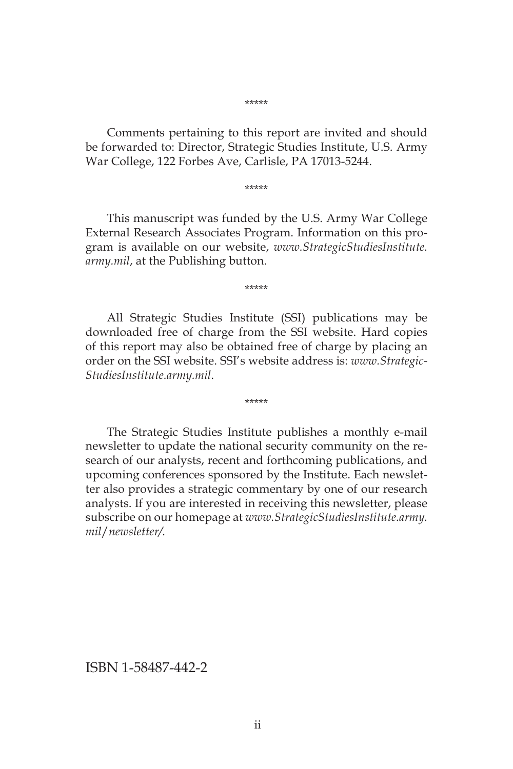#### \*\*\*\*\*

Comments pertaining to this report are invited and should be forwarded to: Director, Strategic Studies Institute, U.S. Army War College, 122 Forbes Ave, Carlisle, PA 17013-5244.

\*\*\*\*\*

This manuscript was funded by the U.S. Army War College External Research Associates Program. Information on this program is available on our website, *www.StrategicStudiesInstitute. army.mil*, at the Publishing button.

\*\*\*\*\*

All Strategic Studies Institute (SSI) publications may be downloaded free of charge from the SSI website. Hard copies of this report may also be obtained free of charge by placing an order on the SSI website. SSI's website address is: *www.Strategic-StudiesInstitute.army.mil*.

\*\*\*\*\*

The Strategic Studies Institute publishes a monthly e-mail newsletter to update the national security community on the research of our analysts, recent and forthcoming publications, and upcoming conferences sponsored by the Institute. Each newsletter also provides a strategic commentary by one of our research analysts. If you are interested in receiving this newsletter, please subscribe on our homepage at *www.StrategicStudiesInstitute.army. mil*/*newsletter/.*

ISBN 1-58487-442-2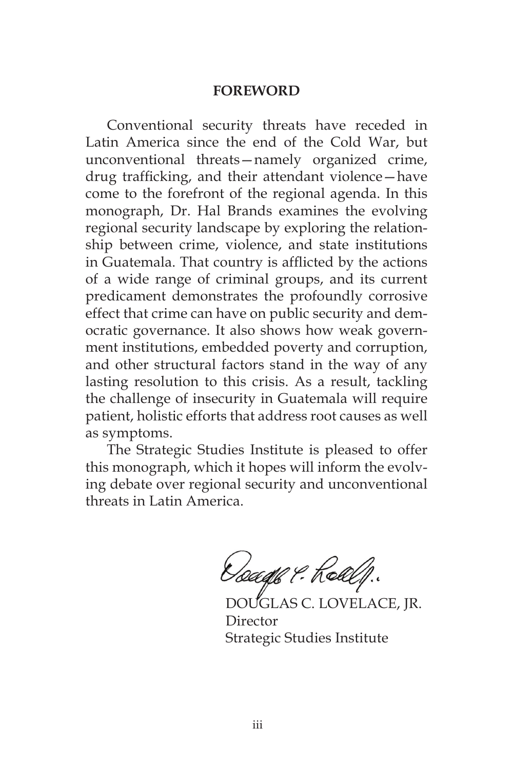#### **FOREWORD**

Conventional security threats have receded in Latin America since the end of the Cold War, but unconventional threats—namely organized crime, drug trafficking, and their attendant violence—have come to the forefront of the regional agenda. In this monograph, Dr. Hal Brands examines the evolving regional security landscape by exploring the relationship between crime, violence, and state institutions in Guatemala. That country is afflicted by the actions of a wide range of criminal groups, and its current predicament demonstrates the profoundly corrosive effect that crime can have on public security and democratic governance. It also shows how weak government institutions, embedded poverty and corruption, and other structural factors stand in the way of any lasting resolution to this crisis. As a result, tackling the challenge of insecurity in Guatemala will require patient, holistic efforts that address root causes as well as symptoms.

The Strategic Studies Institute is pleased to offer this monograph, which it hopes will inform the evolving debate over regional security and unconventional threats in Latin America.

Geage & Realf.

DOUGLAS C. LOVELACE, JR. Director Strategic Studies Institute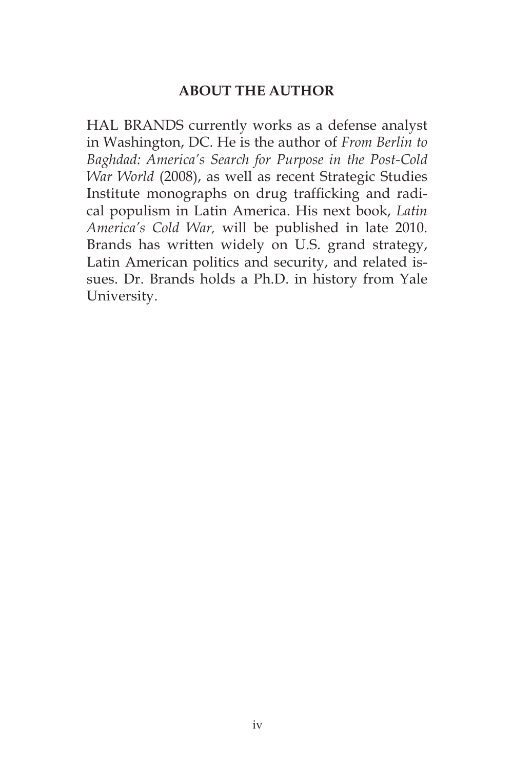# **ABOUT THE AUTHOR**

HAL BRANDS currently works as a defense analyst in Washington, DC. He is the author of *From Berlin to Baghdad: America's Search for Purpose in the Post-Cold War World* (2008), as well as recent Strategic Studies Institute monographs on drug trafficking and radical populism in Latin America. His next book, *Latin America's Cold War,* will be published in late 2010. Brands has written widely on U.S. grand strategy, Latin American politics and security, and related issues. Dr. Brands holds a Ph.D. in history from Yale University.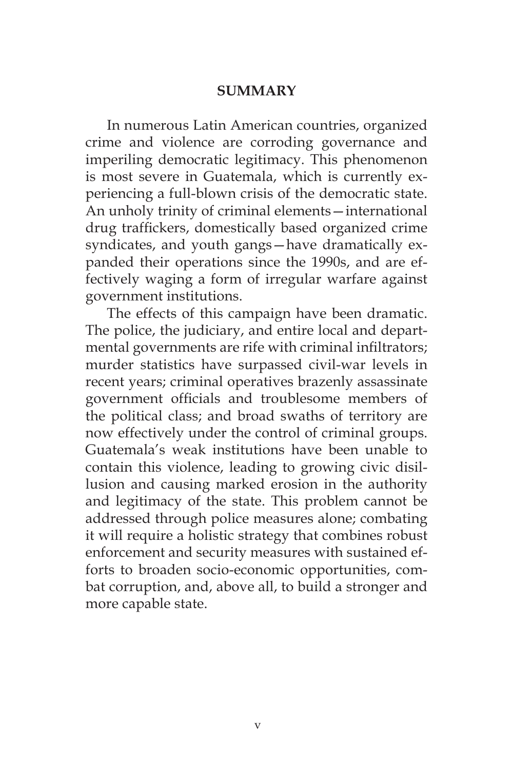### **SUMMARY**

In numerous Latin American countries, organized crime and violence are corroding governance and imperiling democratic legitimacy. This phenomenon is most severe in Guatemala, which is currently experiencing a full-blown crisis of the democratic state. An unholy trinity of criminal elements—international drug traffickers, domestically based organized crime syndicates, and youth gangs—have dramatically expanded their operations since the 1990s, and are effectively waging a form of irregular warfare against government institutions.

The effects of this campaign have been dramatic. The police, the judiciary, and entire local and departmental governments are rife with criminal infiltrators; murder statistics have surpassed civil-war levels in recent years; criminal operatives brazenly assassinate government officials and troublesome members of the political class; and broad swaths of territory are now effectively under the control of criminal groups. Guatemala's weak institutions have been unable to contain this violence, leading to growing civic disillusion and causing marked erosion in the authority and legitimacy of the state. This problem cannot be addressed through police measures alone; combating it will require a holistic strategy that combines robust enforcement and security measures with sustained efforts to broaden socio-economic opportunities, combat corruption, and, above all, to build a stronger and more capable state.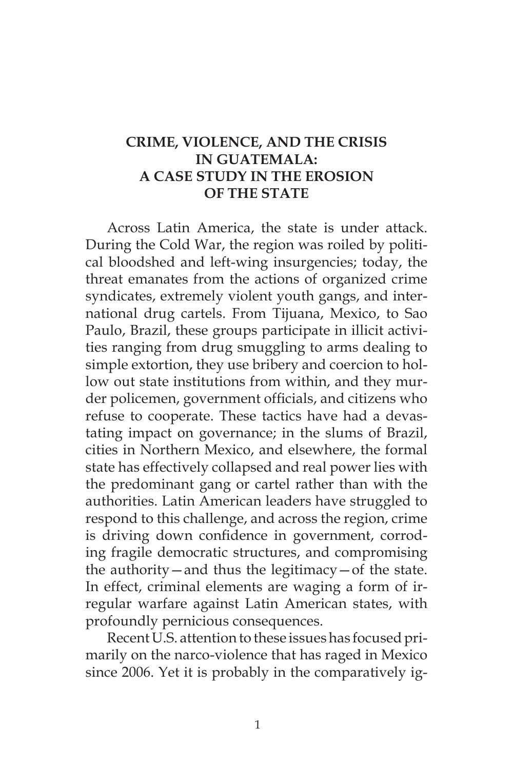# **CRIME, VIOLENCE, AND THE CRISIS IN GUATEMALA: A CASE STUDY IN THE EROSION OF THE STATE**

Across Latin America, the state is under attack. During the Cold War, the region was roiled by political bloodshed and left-wing insurgencies; today, the threat emanates from the actions of organized crime syndicates, extremely violent youth gangs, and international drug cartels. From Tijuana, Mexico, to Sao Paulo, Brazil, these groups participate in illicit activities ranging from drug smuggling to arms dealing to simple extortion, they use bribery and coercion to hollow out state institutions from within, and they murder policemen, government officials, and citizens who refuse to cooperate. These tactics have had a devastating impact on governance; in the slums of Brazil, cities in Northern Mexico, and elsewhere, the formal state has effectively collapsed and real power lies with the predominant gang or cartel rather than with the authorities. Latin American leaders have struggled to respond to this challenge, and across the region, crime is driving down confidence in government, corroding fragile democratic structures, and compromising the authority—and thus the legitimacy—of the state. In effect, criminal elements are waging a form of irregular warfare against Latin American states, with profoundly pernicious consequences.

Recent U.S. attention to these issues has focused primarily on the narco-violence that has raged in Mexico since 2006. Yet it is probably in the comparatively ig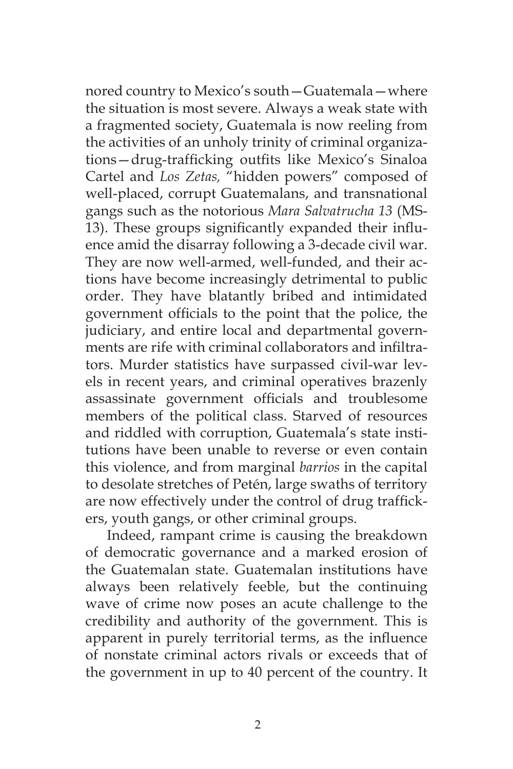nored country to Mexico's south—Guatemala—where the situation is most severe. Always a weak state with a fragmented society, Guatemala is now reeling from the activities of an unholy trinity of criminal organizations—drug-trafficking outfits like Mexico's Sinaloa Cartel and *Los Zetas,* "hidden powers" composed of well-placed, corrupt Guatemalans, and transnational gangs such as the notorious *Mara Salvatrucha 13* (MS-13). These groups significantly expanded their influence amid the disarray following a 3-decade civil war. They are now well-armed, well-funded, and their actions have become increasingly detrimental to public order. They have blatantly bribed and intimidated government officials to the point that the police, the judiciary, and entire local and departmental governments are rife with criminal collaborators and infiltrators. Murder statistics have surpassed civil-war levels in recent years, and criminal operatives brazenly assassinate government officials and troublesome members of the political class. Starved of resources and riddled with corruption, Guatemala's state institutions have been unable to reverse or even contain this violence, and from marginal *barrios* in the capital to desolate stretches of Petén, large swaths of territory are now effectively under the control of drug traffickers, youth gangs, or other criminal groups.

Indeed, rampant crime is causing the breakdown of democratic governance and a marked erosion of the Guatemalan state. Guatemalan institutions have always been relatively feeble, but the continuing wave of crime now poses an acute challenge to the credibility and authority of the government. This is apparent in purely territorial terms, as the influence of nonstate criminal actors rivals or exceeds that of the government in up to 40 percent of the country. It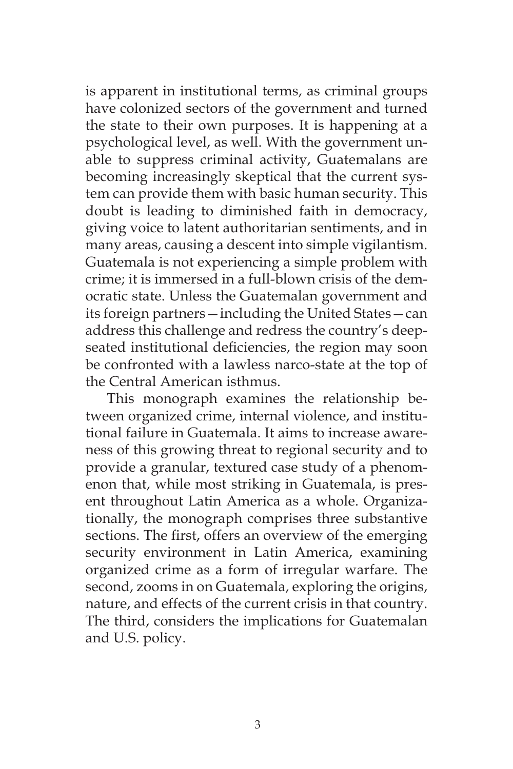is apparent in institutional terms, as criminal groups have colonized sectors of the government and turned the state to their own purposes. It is happening at a psychological level, as well. With the government unable to suppress criminal activity, Guatemalans are becoming increasingly skeptical that the current system can provide them with basic human security. This doubt is leading to diminished faith in democracy, giving voice to latent authoritarian sentiments, and in many areas, causing a descent into simple vigilantism. Guatemala is not experiencing a simple problem with crime; it is immersed in a full-blown crisis of the democratic state. Unless the Guatemalan government and its foreign partners—including the United States—can address this challenge and redress the country's deepseated institutional deficiencies, the region may soon be confronted with a lawless narco-state at the top of the Central American isthmus.

This monograph examines the relationship between organized crime, internal violence, and institutional failure in Guatemala. It aims to increase awareness of this growing threat to regional security and to provide a granular, textured case study of a phenomenon that, while most striking in Guatemala, is present throughout Latin America as a whole. Organizationally, the monograph comprises three substantive sections. The first, offers an overview of the emerging security environment in Latin America, examining organized crime as a form of irregular warfare. The second, zooms in on Guatemala, exploring the origins, nature, and effects of the current crisis in that country. The third, considers the implications for Guatemalan and U.S. policy.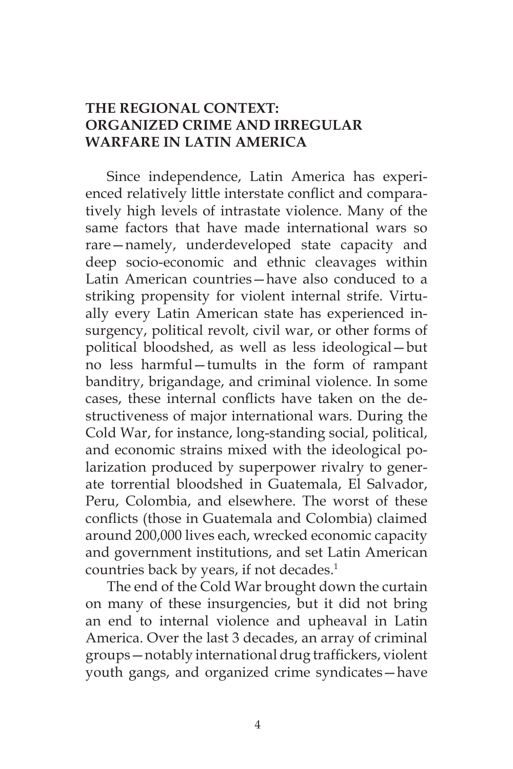# **THE REGIONAL CONTEXT: ORGANIZED CRIME AND IRREGULAR WARFARE IN LATIN AMERICA**

Since independence, Latin America has experienced relatively little interstate conflict and comparatively high levels of intrastate violence. Many of the same factors that have made international wars so rare—namely, underdeveloped state capacity and deep socio-economic and ethnic cleavages within Latin American countries—have also conduced to a striking propensity for violent internal strife. Virtually every Latin American state has experienced insurgency, political revolt, civil war, or other forms of political bloodshed, as well as less ideological—but no less harmful—tumults in the form of rampant banditry, brigandage, and criminal violence. In some cases, these internal conflicts have taken on the destructiveness of major international wars. During the Cold War, for instance, long-standing social, political, and economic strains mixed with the ideological polarization produced by superpower rivalry to generate torrential bloodshed in Guatemala, El Salvador, Peru, Colombia, and elsewhere. The worst of these conflicts (those in Guatemala and Colombia) claimed around 200,000 lives each, wrecked economic capacity and government institutions, and set Latin American countries back by years, if not decades.<sup>1</sup>

The end of the Cold War brought down the curtain on many of these insurgencies, but it did not bring an end to internal violence and upheaval in Latin America. Over the last 3 decades, an array of criminal groups—notably international drug traffickers, violent youth gangs, and organized crime syndicates—have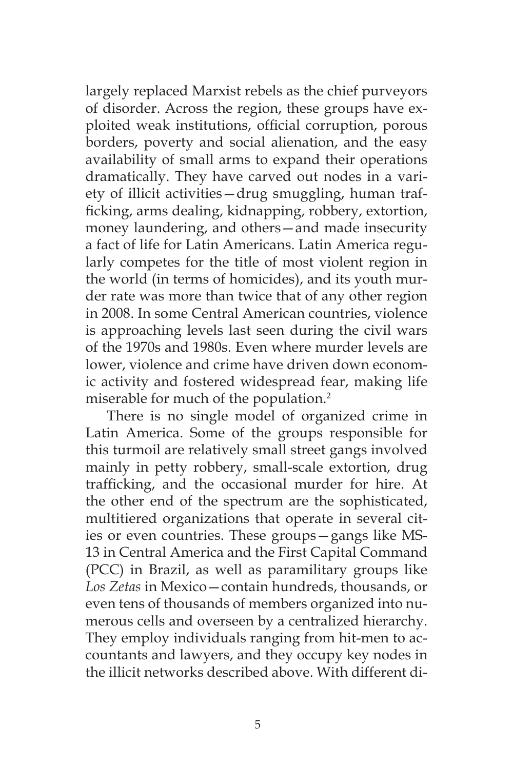largely replaced Marxist rebels as the chief purveyors of disorder. Across the region, these groups have exploited weak institutions, official corruption, porous borders, poverty and social alienation, and the easy availability of small arms to expand their operations dramatically. They have carved out nodes in a variety of illicit activities—drug smuggling, human trafficking, arms dealing, kidnapping, robbery, extortion, money laundering, and others—and made insecurity a fact of life for Latin Americans. Latin America regularly competes for the title of most violent region in the world (in terms of homicides), and its youth murder rate was more than twice that of any other region in 2008. In some Central American countries, violence is approaching levels last seen during the civil wars of the 1970s and 1980s. Even where murder levels are lower, violence and crime have driven down economic activity and fostered widespread fear, making life miserable for much of the population.<sup>2</sup>

There is no single model of organized crime in Latin America. Some of the groups responsible for this turmoil are relatively small street gangs involved mainly in petty robbery, small-scale extortion, drug trafficking, and the occasional murder for hire. At the other end of the spectrum are the sophisticated, multitiered organizations that operate in several cities or even countries. These groups—gangs like MS-13 in Central America and the First Capital Command (PCC) in Brazil, as well as paramilitary groups like *Los Zetas* in Mexico—contain hundreds, thousands, or even tens of thousands of members organized into numerous cells and overseen by a centralized hierarchy. They employ individuals ranging from hit-men to accountants and lawyers, and they occupy key nodes in the illicit networks described above. With different di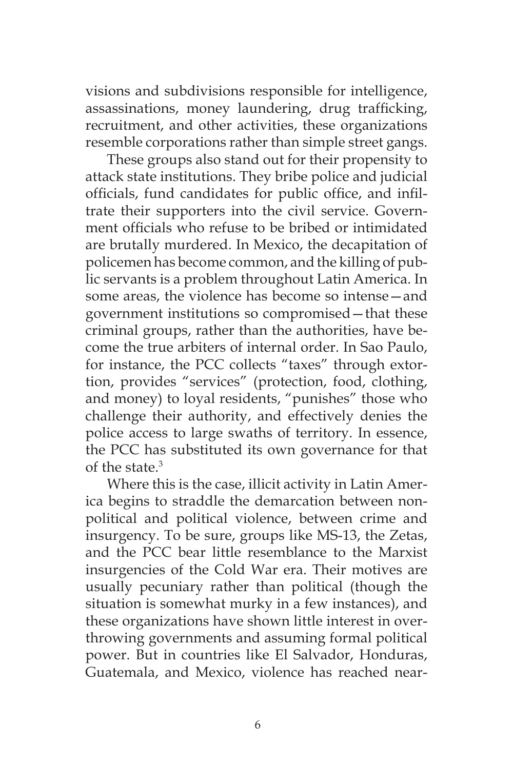visions and subdivisions responsible for intelligence, assassinations, money laundering, drug trafficking, recruitment, and other activities, these organizations resemble corporations rather than simple street gangs.

These groups also stand out for their propensity to attack state institutions. They bribe police and judicial officials, fund candidates for public office, and infiltrate their supporters into the civil service. Government officials who refuse to be bribed or intimidated are brutally murdered. In Mexico, the decapitation of policemen has become common, and the killing of public servants is a problem throughout Latin America. In some areas, the violence has become so intense—and government institutions so compromised—that these criminal groups, rather than the authorities, have become the true arbiters of internal order. In Sao Paulo, for instance, the PCC collects "taxes" through extortion, provides "services" (protection, food, clothing, and money) to loyal residents, "punishes" those who challenge their authority, and effectively denies the police access to large swaths of territory. In essence, the PCC has substituted its own governance for that of the state.3

Where this is the case, illicit activity in Latin America begins to straddle the demarcation between nonpolitical and political violence, between crime and insurgency. To be sure, groups like MS-13, the Zetas, and the PCC bear little resemblance to the Marxist insurgencies of the Cold War era. Their motives are usually pecuniary rather than political (though the situation is somewhat murky in a few instances), and these organizations have shown little interest in overthrowing governments and assuming formal political power. But in countries like El Salvador, Honduras, Guatemala, and Mexico, violence has reached near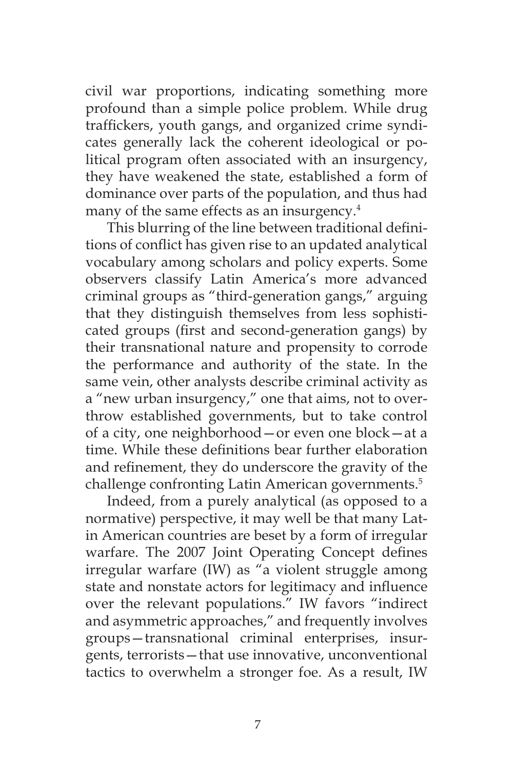civil war proportions, indicating something more profound than a simple police problem. While drug traffickers, youth gangs, and organized crime syndicates generally lack the coherent ideological or political program often associated with an insurgency, they have weakened the state, established a form of dominance over parts of the population, and thus had many of the same effects as an insurgency.<sup>4</sup>

This blurring of the line between traditional definitions of conflict has given rise to an updated analytical vocabulary among scholars and policy experts. Some observers classify Latin America's more advanced criminal groups as "third-generation gangs," arguing that they distinguish themselves from less sophisticated groups (first and second-generation gangs) by their transnational nature and propensity to corrode the performance and authority of the state. In the same vein, other analysts describe criminal activity as a "new urban insurgency," one that aims, not to overthrow established governments, but to take control of a city, one neighborhood—or even one block—at a time. While these definitions bear further elaboration and refinement, they do underscore the gravity of the challenge confronting Latin American governments.5

Indeed, from a purely analytical (as opposed to a normative) perspective, it may well be that many Latin American countries are beset by a form of irregular warfare. The 2007 Joint Operating Concept defines irregular warfare (IW) as "a violent struggle among state and nonstate actors for legitimacy and influence over the relevant populations." IW favors "indirect and asymmetric approaches," and frequently involves groups—transnational criminal enterprises, insurgents, terrorists—that use innovative, unconventional tactics to overwhelm a stronger foe. As a result, IW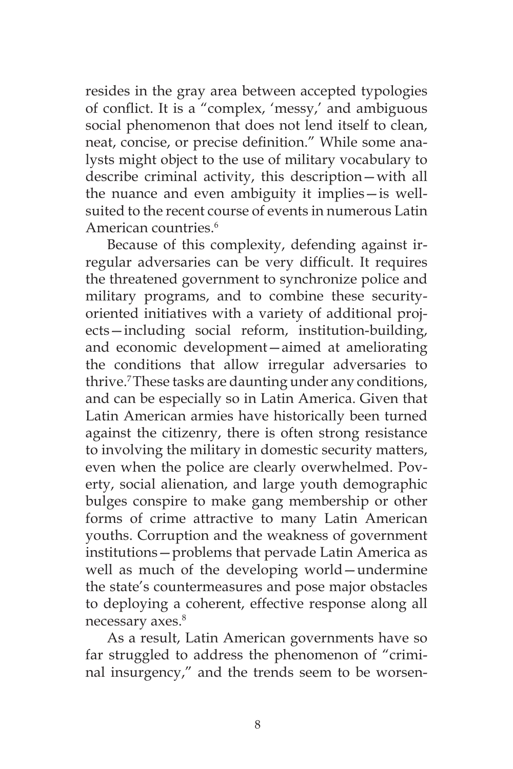resides in the gray area between accepted typologies of conflict. It is a "complex, 'messy,' and ambiguous social phenomenon that does not lend itself to clean, neat, concise, or precise definition." While some analysts might object to the use of military vocabulary to describe criminal activity, this description—with all the nuance and even ambiguity it implies—is wellsuited to the recent course of events in numerous Latin American countries.<sup>6</sup>

Because of this complexity, defending against irregular adversaries can be very difficult. It requires the threatened government to synchronize police and military programs, and to combine these securityoriented initiatives with a variety of additional projects—including social reform, institution-building, and economic development—aimed at ameliorating the conditions that allow irregular adversaries to thrive.7 These tasks are daunting under any conditions, and can be especially so in Latin America. Given that Latin American armies have historically been turned against the citizenry, there is often strong resistance to involving the military in domestic security matters, even when the police are clearly overwhelmed. Poverty, social alienation, and large youth demographic bulges conspire to make gang membership or other forms of crime attractive to many Latin American youths. Corruption and the weakness of government institutions—problems that pervade Latin America as well as much of the developing world—undermine the state's countermeasures and pose major obstacles to deploying a coherent, effective response along all necessary axes.<sup>8</sup>

As a result, Latin American governments have so far struggled to address the phenomenon of "criminal insurgency," and the trends seem to be worsen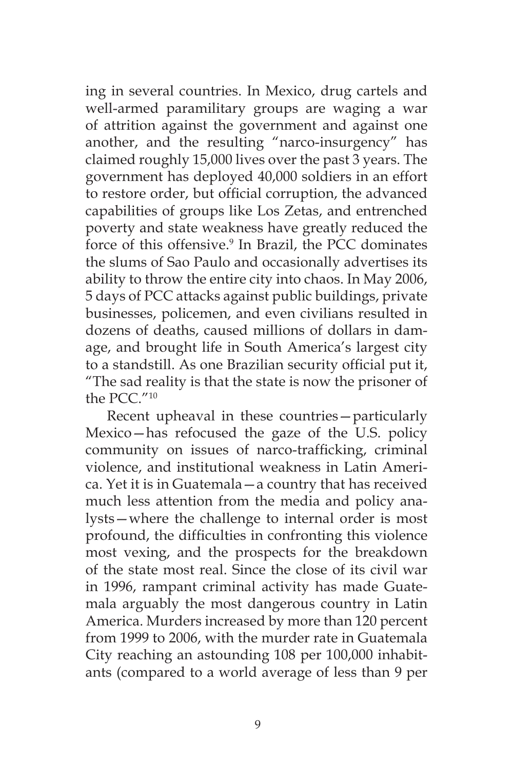ing in several countries. In Mexico, drug cartels and well-armed paramilitary groups are waging a war of attrition against the government and against one another, and the resulting "narco-insurgency" has claimed roughly 15,000 lives over the past 3 years. The government has deployed 40,000 soldiers in an effort to restore order, but official corruption, the advanced capabilities of groups like Los Zetas, and entrenched poverty and state weakness have greatly reduced the force of this offensive.<sup>9</sup> In Brazil, the PCC dominates the slums of Sao Paulo and occasionally advertises its ability to throw the entire city into chaos. In May 2006, 5 days of PCC attacks against public buildings, private businesses, policemen, and even civilians resulted in dozens of deaths, caused millions of dollars in damage, and brought life in South America's largest city to a standstill. As one Brazilian security official put it, "The sad reality is that the state is now the prisoner of the PCC."10

Recent upheaval in these countries—particularly Mexico—has refocused the gaze of the U.S. policy community on issues of narco-trafficking, criminal violence, and institutional weakness in Latin America. Yet it is in Guatemala—a country that has received much less attention from the media and policy analysts—where the challenge to internal order is most profound, the difficulties in confronting this violence most vexing, and the prospects for the breakdown of the state most real. Since the close of its civil war in 1996, rampant criminal activity has made Guatemala arguably the most dangerous country in Latin America. Murders increased by more than 120 percent from 1999 to 2006, with the murder rate in Guatemala City reaching an astounding 108 per 100,000 inhabitants (compared to a world average of less than 9 per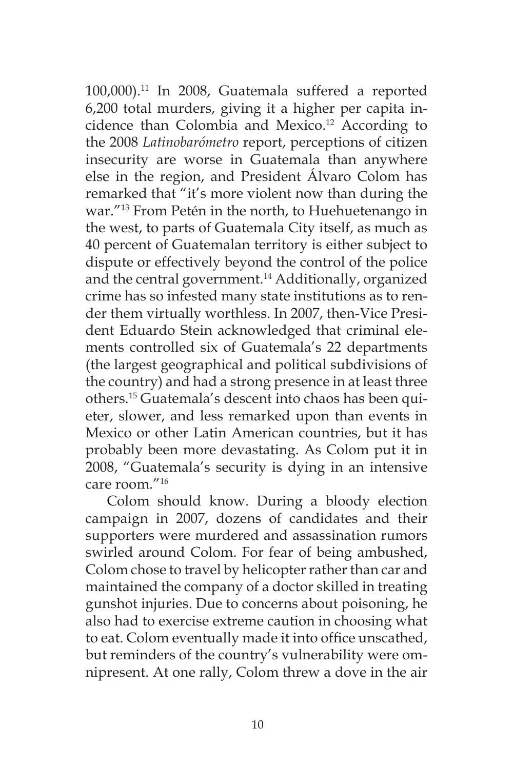100,000).11 In 2008, Guatemala suffered a reported 6,200 total murders, giving it a higher per capita incidence than Colombia and Mexico.<sup>12</sup> According to the 2008 *Latinobarómetro* report, perceptions of citizen insecurity are worse in Guatemala than anywhere else in the region, and President Álvaro Colom has remarked that "it's more violent now than during the war."13 From Petén in the north, to Huehuetenango in the west, to parts of Guatemala City itself, as much as 40 percent of Guatemalan territory is either subject to dispute or effectively beyond the control of the police and the central government.<sup>14</sup> Additionally, organized crime has so infested many state institutions as to render them virtually worthless. In 2007, then-Vice President Eduardo Stein acknowledged that criminal elements controlled six of Guatemala's 22 departments (the largest geographical and political subdivisions of the country) and had a strong presence in at least three others.15 Guatemala's descent into chaos has been quieter, slower, and less remarked upon than events in Mexico or other Latin American countries, but it has probably been more devastating. As Colom put it in 2008, "Guatemala's security is dying in an intensive care room."16

Colom should know. During a bloody election campaign in 2007, dozens of candidates and their supporters were murdered and assassination rumors swirled around Colom. For fear of being ambushed, Colom chose to travel by helicopter rather than car and maintained the company of a doctor skilled in treating gunshot injuries. Due to concerns about poisoning, he also had to exercise extreme caution in choosing what to eat. Colom eventually made it into office unscathed, but reminders of the country's vulnerability were omnipresent. At one rally, Colom threw a dove in the air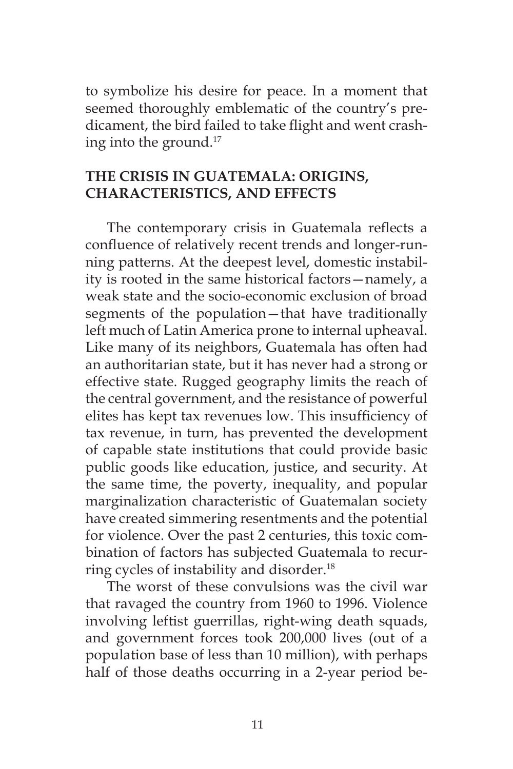to symbolize his desire for peace. In a moment that seemed thoroughly emblematic of the country's predicament, the bird failed to take flight and went crashing into the ground.17

# **THE CRISIS IN GUATEMALA: ORIGINS, CHARACTERISTICS, AND EFFECTS**

The contemporary crisis in Guatemala reflects a confluence of relatively recent trends and longer-running patterns. At the deepest level, domestic instability is rooted in the same historical factors—namely, a weak state and the socio-economic exclusion of broad segments of the population—that have traditionally left much of Latin America prone to internal upheaval. Like many of its neighbors, Guatemala has often had an authoritarian state, but it has never had a strong or effective state. Rugged geography limits the reach of the central government, and the resistance of powerful elites has kept tax revenues low. This insufficiency of tax revenue, in turn, has prevented the development of capable state institutions that could provide basic public goods like education, justice, and security. At the same time, the poverty, inequality, and popular marginalization characteristic of Guatemalan society have created simmering resentments and the potential for violence. Over the past 2 centuries, this toxic combination of factors has subjected Guatemala to recurring cycles of instability and disorder.<sup>18</sup>

The worst of these convulsions was the civil war that ravaged the country from 1960 to 1996. Violence involving leftist guerrillas, right-wing death squads, and government forces took 200,000 lives (out of a population base of less than 10 million), with perhaps half of those deaths occurring in a 2-year period be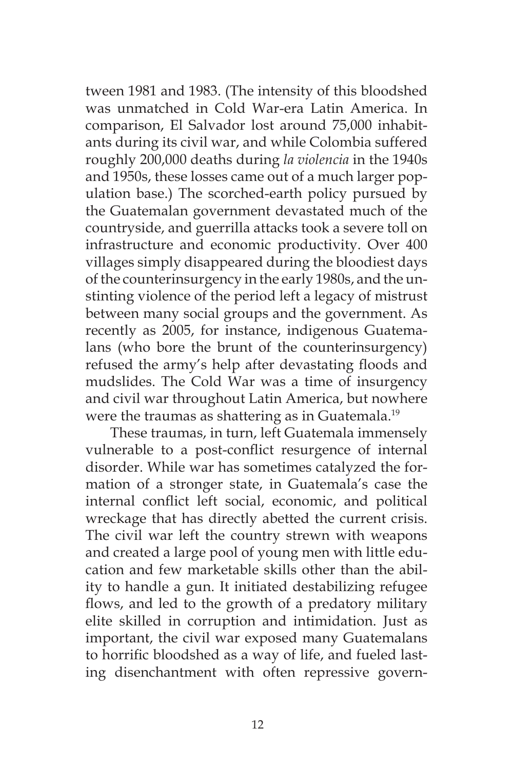tween 1981 and 1983. (The intensity of this bloodshed was unmatched in Cold War-era Latin America. In comparison, El Salvador lost around 75,000 inhabitants during its civil war, and while Colombia suffered roughly 200,000 deaths during *la violencia* in the 1940s and 1950s, these losses came out of a much larger population base.) The scorched-earth policy pursued by the Guatemalan government devastated much of the countryside, and guerrilla attacks took a severe toll on infrastructure and economic productivity. Over 400 villages simply disappeared during the bloodiest days of the counterinsurgency in the early 1980s, and the unstinting violence of the period left a legacy of mistrust between many social groups and the government. As recently as 2005, for instance, indigenous Guatemalans (who bore the brunt of the counterinsurgency) refused the army's help after devastating floods and mudslides. The Cold War was a time of insurgency and civil war throughout Latin America, but nowhere were the traumas as shattering as in Guatemala.<sup>19</sup>

 These traumas, in turn, left Guatemala immensely vulnerable to a post-conflict resurgence of internal disorder. While war has sometimes catalyzed the formation of a stronger state, in Guatemala's case the internal conflict left social, economic, and political wreckage that has directly abetted the current crisis. The civil war left the country strewn with weapons and created a large pool of young men with little education and few marketable skills other than the ability to handle a gun. It initiated destabilizing refugee flows, and led to the growth of a predatory military elite skilled in corruption and intimidation. Just as important, the civil war exposed many Guatemalans to horrific bloodshed as a way of life, and fueled lasting disenchantment with often repressive govern-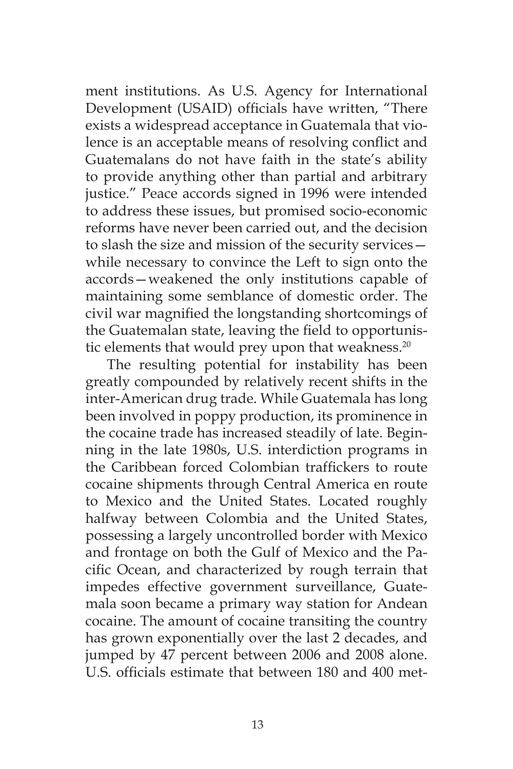ment institutions. As U.S. Agency for International Development (USAID) officials have written, "There exists a widespread acceptance in Guatemala that violence is an acceptable means of resolving conflict and Guatemalans do not have faith in the state's ability to provide anything other than partial and arbitrary justice." Peace accords signed in 1996 were intended to address these issues, but promised socio-economic reforms have never been carried out, and the decision to slash the size and mission of the security services while necessary to convince the Left to sign onto the accords—weakened the only institutions capable of maintaining some semblance of domestic order. The civil war magnified the longstanding shortcomings of the Guatemalan state, leaving the field to opportunistic elements that would prey upon that weakness.<sup>20</sup>

The resulting potential for instability has been greatly compounded by relatively recent shifts in the inter-American drug trade. While Guatemala has long been involved in poppy production, its prominence in the cocaine trade has increased steadily of late. Beginning in the late 1980s, U.S. interdiction programs in the Caribbean forced Colombian traffickers to route cocaine shipments through Central America en route to Mexico and the United States. Located roughly halfway between Colombia and the United States, possessing a largely uncontrolled border with Mexico and frontage on both the Gulf of Mexico and the Pacific Ocean, and characterized by rough terrain that impedes effective government surveillance, Guatemala soon became a primary way station for Andean cocaine. The amount of cocaine transiting the country has grown exponentially over the last 2 decades, and jumped by 47 percent between 2006 and 2008 alone. U.S. officials estimate that between 180 and 400 met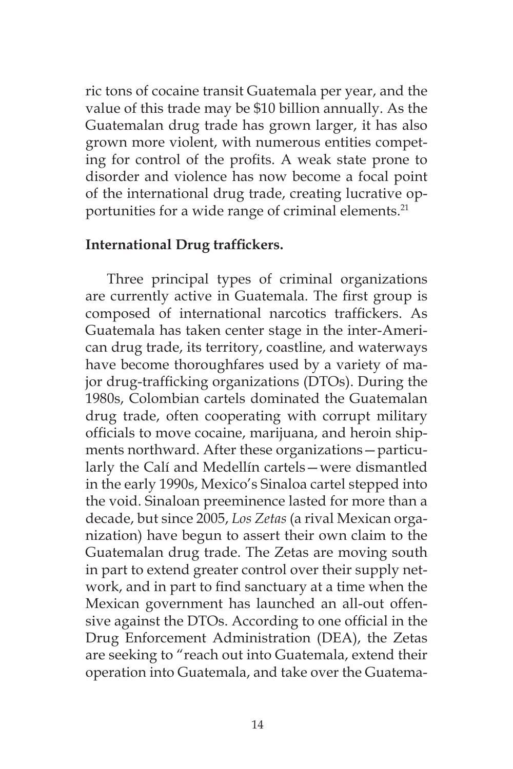ric tons of cocaine transit Guatemala per year, and the value of this trade may be \$10 billion annually. As the Guatemalan drug trade has grown larger, it has also grown more violent, with numerous entities competing for control of the profits. A weak state prone to disorder and violence has now become a focal point of the international drug trade, creating lucrative opportunities for a wide range of criminal elements.<sup>21</sup>

### **International Drug traffickers.**

Three principal types of criminal organizations are currently active in Guatemala. The first group is composed of international narcotics traffickers. As Guatemala has taken center stage in the inter-American drug trade, its territory, coastline, and waterways have become thoroughfares used by a variety of major drug-trafficking organizations (DTOs). During the 1980s, Colombian cartels dominated the Guatemalan drug trade, often cooperating with corrupt military officials to move cocaine, marijuana, and heroin shipments northward. After these organizations—particularly the Calí and Medellín cartels—were dismantled in the early 1990s, Mexico's Sinaloa cartel stepped into the void. Sinaloan preeminence lasted for more than a decade, but since 2005, *Los Zetas* (a rival Mexican organization) have begun to assert their own claim to the Guatemalan drug trade. The Zetas are moving south in part to extend greater control over their supply network, and in part to find sanctuary at a time when the Mexican government has launched an all-out offensive against the DTOs. According to one official in the Drug Enforcement Administration (DEA), the Zetas are seeking to "reach out into Guatemala, extend their operation into Guatemala, and take over the Guatema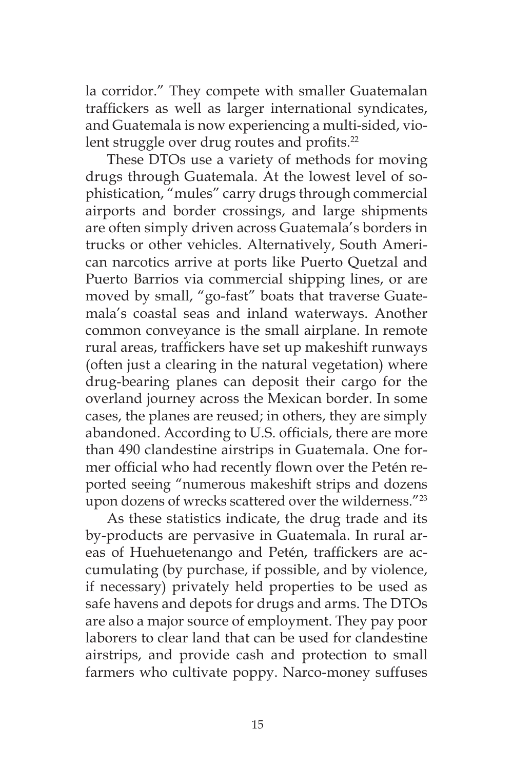la corridor." They compete with smaller Guatemalan traffickers as well as larger international syndicates, and Guatemala is now experiencing a multi-sided, violent struggle over drug routes and profits.<sup>22</sup>

These DTOs use a variety of methods for moving drugs through Guatemala. At the lowest level of sophistication, "mules" carry drugs through commercial airports and border crossings, and large shipments are often simply driven across Guatemala's borders in trucks or other vehicles. Alternatively, South American narcotics arrive at ports like Puerto Quetzal and Puerto Barrios via commercial shipping lines, or are moved by small, "go-fast" boats that traverse Guatemala's coastal seas and inland waterways. Another common conveyance is the small airplane. In remote rural areas, traffickers have set up makeshift runways (often just a clearing in the natural vegetation) where drug-bearing planes can deposit their cargo for the overland journey across the Mexican border. In some cases, the planes are reused; in others, they are simply abandoned. According to U.S. officials, there are more than 490 clandestine airstrips in Guatemala. One former official who had recently flown over the Petén reported seeing "numerous makeshift strips and dozens upon dozens of wrecks scattered over the wilderness."23

As these statistics indicate, the drug trade and its by-products are pervasive in Guatemala. In rural areas of Huehuetenango and Petén, traffickers are accumulating (by purchase, if possible, and by violence, if necessary) privately held properties to be used as safe havens and depots for drugs and arms. The DTOs are also a major source of employment. They pay poor laborers to clear land that can be used for clandestine airstrips, and provide cash and protection to small farmers who cultivate poppy. Narco-money suffuses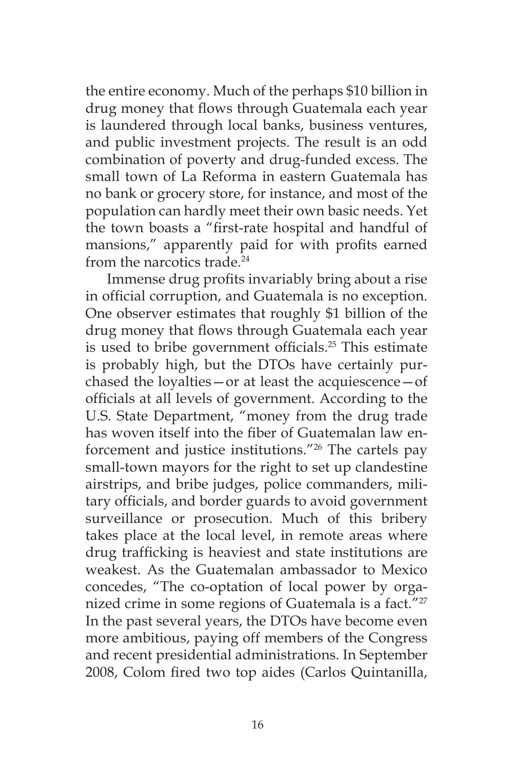the entire economy. Much of the perhaps \$10 billion in drug money that flows through Guatemala each year is laundered through local banks, business ventures, and public investment projects. The result is an odd combination of poverty and drug-funded excess. The small town of La Reforma in eastern Guatemala has no bank or grocery store, for instance, and most of the population can hardly meet their own basic needs. Yet the town boasts a "first-rate hospital and handful of mansions," apparently paid for with profits earned from the narcotics trade.<sup>24</sup>

Immense drug profits invariably bring about a rise in official corruption, and Guatemala is no exception. One observer estimates that roughly \$1 billion of the drug money that flows through Guatemala each year is used to bribe government officials.<sup>25</sup> This estimate is probably high, but the DTOs have certainly purchased the loyalties—or at least the acquiescence—of officials at all levels of government. According to the U.S. State Department, "money from the drug trade has woven itself into the fiber of Guatemalan law enforcement and justice institutions."26 The cartels pay small-town mayors for the right to set up clandestine airstrips, and bribe judges, police commanders, military officials, and border guards to avoid government surveillance or prosecution. Much of this bribery takes place at the local level, in remote areas where drug trafficking is heaviest and state institutions are weakest. As the Guatemalan ambassador to Mexico concedes, "The co-optation of local power by organized crime in some regions of Guatemala is a fact."<sup>27</sup> In the past several years, the DTOs have become even more ambitious, paying off members of the Congress and recent presidential administrations. In September 2008, Colom fired two top aides (Carlos Quintanilla,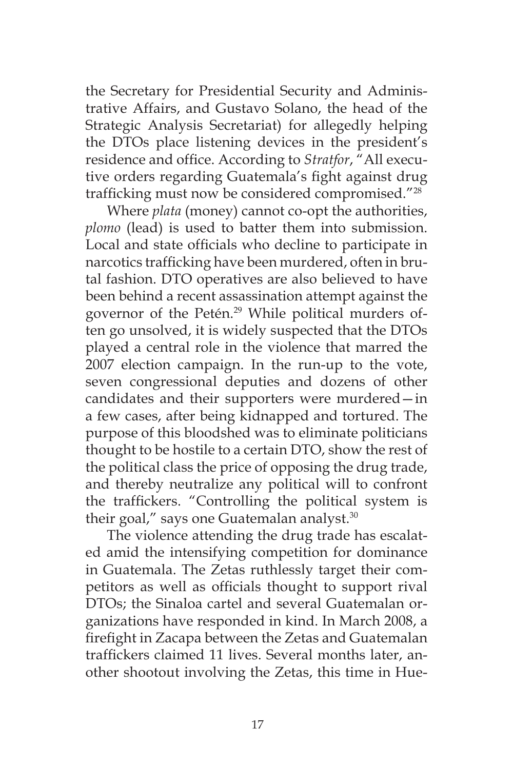the Secretary for Presidential Security and Administrative Affairs, and Gustavo Solano, the head of the Strategic Analysis Secretariat) for allegedly helping the DTOs place listening devices in the president's residence and office. According to *Stratfor*, "All executive orders regarding Guatemala's fight against drug trafficking must now be considered compromised."28

Where *plata* (money) cannot co-opt the authorities, *plomo* (lead) is used to batter them into submission. Local and state officials who decline to participate in narcotics trafficking have been murdered, often in brutal fashion. DTO operatives are also believed to have been behind a recent assassination attempt against the governor of the Petén.<sup>29</sup> While political murders often go unsolved, it is widely suspected that the DTOs played a central role in the violence that marred the 2007 election campaign. In the run-up to the vote, seven congressional deputies and dozens of other candidates and their supporters were murdered—in a few cases, after being kidnapped and tortured. The purpose of this bloodshed was to eliminate politicians thought to be hostile to a certain DTO, show the rest of the political class the price of opposing the drug trade, and thereby neutralize any political will to confront the traffickers. "Controlling the political system is their goal," says one Guatemalan analyst.<sup>30</sup>

The violence attending the drug trade has escalated amid the intensifying competition for dominance in Guatemala. The Zetas ruthlessly target their competitors as well as officials thought to support rival DTOs; the Sinaloa cartel and several Guatemalan organizations have responded in kind. In March 2008, a firefight in Zacapa between the Zetas and Guatemalan traffickers claimed 11 lives. Several months later, another shootout involving the Zetas, this time in Hue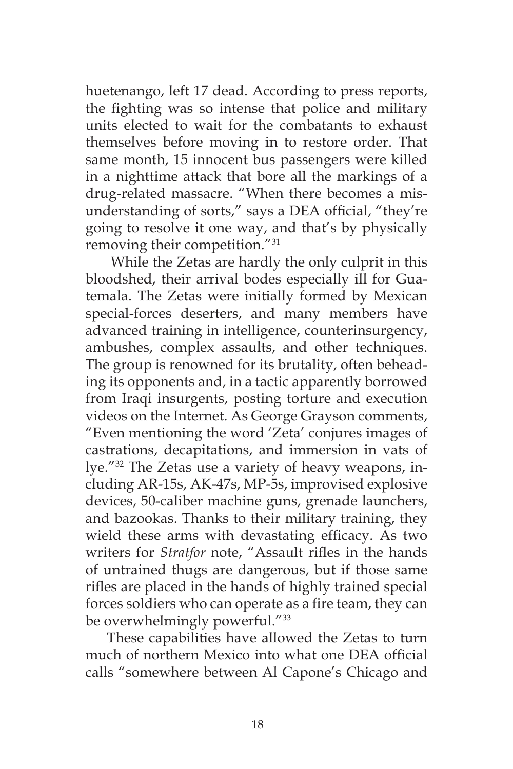huetenango, left 17 dead. According to press reports, the fighting was so intense that police and military units elected to wait for the combatants to exhaust themselves before moving in to restore order. That same month, 15 innocent bus passengers were killed in a nighttime attack that bore all the markings of a drug-related massacre. "When there becomes a misunderstanding of sorts," says a DEA official, "they're going to resolve it one way, and that's by physically removing their competition."31

 While the Zetas are hardly the only culprit in this bloodshed, their arrival bodes especially ill for Guatemala. The Zetas were initially formed by Mexican special-forces deserters, and many members have advanced training in intelligence, counterinsurgency, ambushes, complex assaults, and other techniques. The group is renowned for its brutality, often beheading its opponents and, in a tactic apparently borrowed from Iraqi insurgents, posting torture and execution videos on the Internet. As George Grayson comments, "Even mentioning the word 'Zeta' conjures images of castrations, decapitations, and immersion in vats of lye."32 The Zetas use a variety of heavy weapons, including AR-15s, AK-47s, MP-5s, improvised explosive devices, 50-caliber machine guns, grenade launchers, and bazookas. Thanks to their military training, they wield these arms with devastating efficacy. As two writers for *Stratfor* note, "Assault rifles in the hands of untrained thugs are dangerous, but if those same rifles are placed in the hands of highly trained special forces soldiers who can operate as a fire team, they can be overwhelmingly powerful."<sup>33</sup>

These capabilities have allowed the Zetas to turn much of northern Mexico into what one DEA official calls "somewhere between Al Capone's Chicago and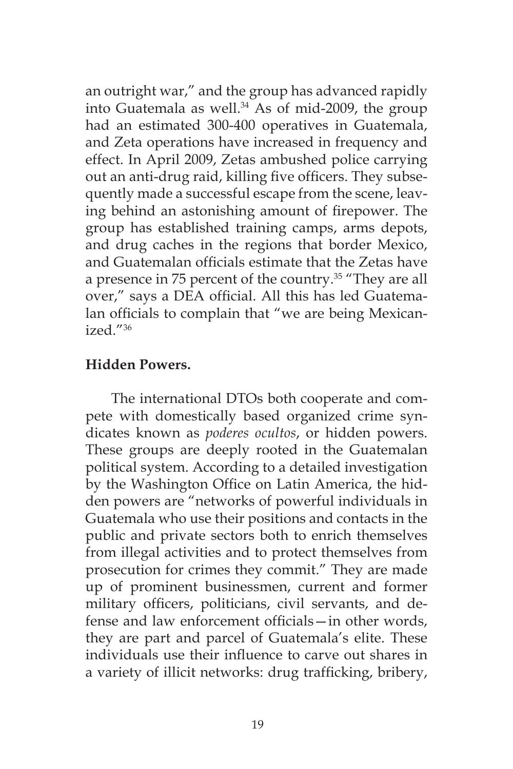an outright war," and the group has advanced rapidly into Guatemala as well. $34$  As of mid-2009, the group had an estimated 300-400 operatives in Guatemala, and Zeta operations have increased in frequency and effect. In April 2009, Zetas ambushed police carrying out an anti-drug raid, killing five officers. They subsequently made a successful escape from the scene, leaving behind an astonishing amount of firepower. The group has established training camps, arms depots, and drug caches in the regions that border Mexico, and Guatemalan officials estimate that the Zetas have a presence in 75 percent of the country.<sup>35</sup> "They are all over," says a DEA official. All this has led Guatemalan officials to complain that "we are being Mexican $i$ zed $^{\prime\prime}$ <sup>36</sup>

# **Hidden Powers.**

 The international DTOs both cooperate and compete with domestically based organized crime syndicates known as *poderes ocultos*, or hidden powers. These groups are deeply rooted in the Guatemalan political system. According to a detailed investigation by the Washington Office on Latin America, the hidden powers are "networks of powerful individuals in Guatemala who use their positions and contacts in the public and private sectors both to enrich themselves from illegal activities and to protect themselves from prosecution for crimes they commit." They are made up of prominent businessmen, current and former military officers, politicians, civil servants, and defense and law enforcement officials—in other words, they are part and parcel of Guatemala's elite. These individuals use their influence to carve out shares in a variety of illicit networks: drug trafficking, bribery,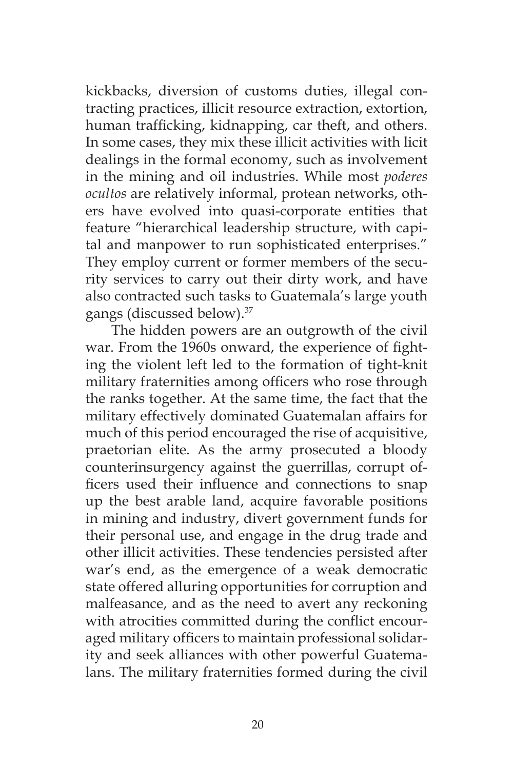kickbacks, diversion of customs duties, illegal contracting practices, illicit resource extraction, extortion, human trafficking, kidnapping, car theft, and others. In some cases, they mix these illicit activities with licit dealings in the formal economy, such as involvement in the mining and oil industries. While most *poderes ocultos* are relatively informal, protean networks, others have evolved into quasi-corporate entities that feature "hierarchical leadership structure, with capital and manpower to run sophisticated enterprises." They employ current or former members of the security services to carry out their dirty work, and have also contracted such tasks to Guatemala's large youth gangs (discussed below).37

 The hidden powers are an outgrowth of the civil war. From the 1960s onward, the experience of fighting the violent left led to the formation of tight-knit military fraternities among officers who rose through the ranks together. At the same time, the fact that the military effectively dominated Guatemalan affairs for much of this period encouraged the rise of acquisitive, praetorian elite. As the army prosecuted a bloody counterinsurgency against the guerrillas, corrupt officers used their influence and connections to snap up the best arable land, acquire favorable positions in mining and industry, divert government funds for their personal use, and engage in the drug trade and other illicit activities. These tendencies persisted after war's end, as the emergence of a weak democratic state offered alluring opportunities for corruption and malfeasance, and as the need to avert any reckoning with atrocities committed during the conflict encouraged military officers to maintain professional solidarity and seek alliances with other powerful Guatemalans. The military fraternities formed during the civil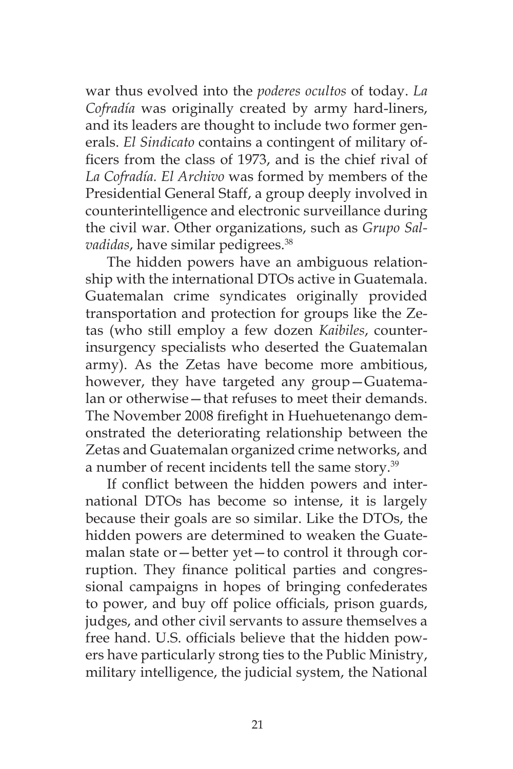war thus evolved into the *poderes ocultos* of today. *La Cofradía* was originally created by army hard-liners, and its leaders are thought to include two former generals. *El Sindicato* contains a contingent of military officers from the class of 1973, and is the chief rival of *La Cofradía. El Archivo* was formed by members of the Presidential General Staff, a group deeply involved in counterintelligence and electronic surveillance during the civil war. Other organizations, such as *Grupo Salvadidas*, have similar pedigrees.<sup>38</sup>

The hidden powers have an ambiguous relationship with the international DTOs active in Guatemala. Guatemalan crime syndicates originally provided transportation and protection for groups like the Zetas (who still employ a few dozen *Kaibiles*, counterinsurgency specialists who deserted the Guatemalan army). As the Zetas have become more ambitious, however, they have targeted any group—Guatemalan or otherwise—that refuses to meet their demands. The November 2008 firefight in Huehuetenango demonstrated the deteriorating relationship between the Zetas and Guatemalan organized crime networks, and a number of recent incidents tell the same story.<sup>39</sup>

If conflict between the hidden powers and international DTOs has become so intense, it is largely because their goals are so similar. Like the DTOs, the hidden powers are determined to weaken the Guatemalan state or—better yet—to control it through corruption. They finance political parties and congressional campaigns in hopes of bringing confederates to power, and buy off police officials, prison guards, judges, and other civil servants to assure themselves a free hand. U.S. officials believe that the hidden powers have particularly strong ties to the Public Ministry, military intelligence, the judicial system, the National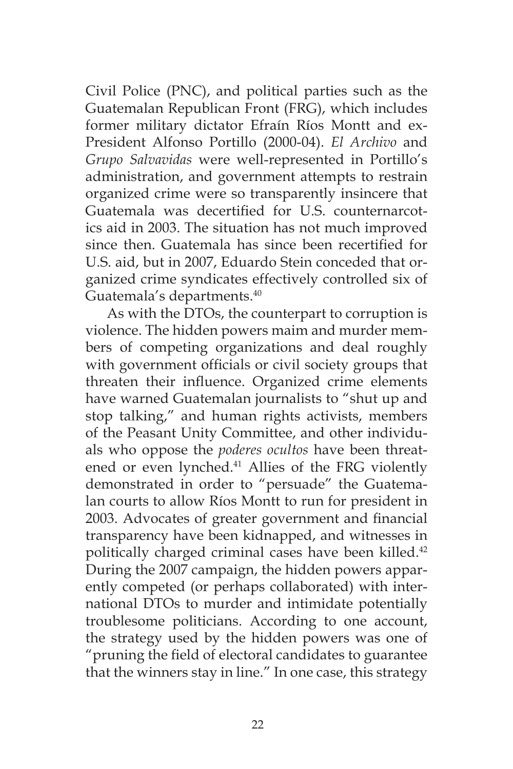Civil Police (PNC), and political parties such as the Guatemalan Republican Front (FRG), which includes former military dictator Efraín Ríos Montt and ex-President Alfonso Portillo (2000-04). *El Archivo* and *Grupo Salvavidas* were well-represented in Portillo's administration, and government attempts to restrain organized crime were so transparently insincere that Guatemala was decertified for U.S. counternarcotics aid in 2003. The situation has not much improved since then. Guatemala has since been recertified for U.S. aid, but in 2007, Eduardo Stein conceded that organized crime syndicates effectively controlled six of Guatemala's departments.<sup>40</sup>

As with the DTOs, the counterpart to corruption is violence. The hidden powers maim and murder members of competing organizations and deal roughly with government officials or civil society groups that threaten their influence. Organized crime elements have warned Guatemalan journalists to "shut up and stop talking," and human rights activists, members of the Peasant Unity Committee, and other individuals who oppose the *poderes ocultos* have been threatened or even lynched.<sup>41</sup> Allies of the FRG violently demonstrated in order to "persuade" the Guatemalan courts to allow Ríos Montt to run for president in 2003. Advocates of greater government and financial transparency have been kidnapped, and witnesses in politically charged criminal cases have been killed.<sup>42</sup> During the 2007 campaign, the hidden powers apparently competed (or perhaps collaborated) with international DTOs to murder and intimidate potentially troublesome politicians. According to one account, the strategy used by the hidden powers was one of "pruning the field of electoral candidates to guarantee that the winners stay in line." In one case, this strategy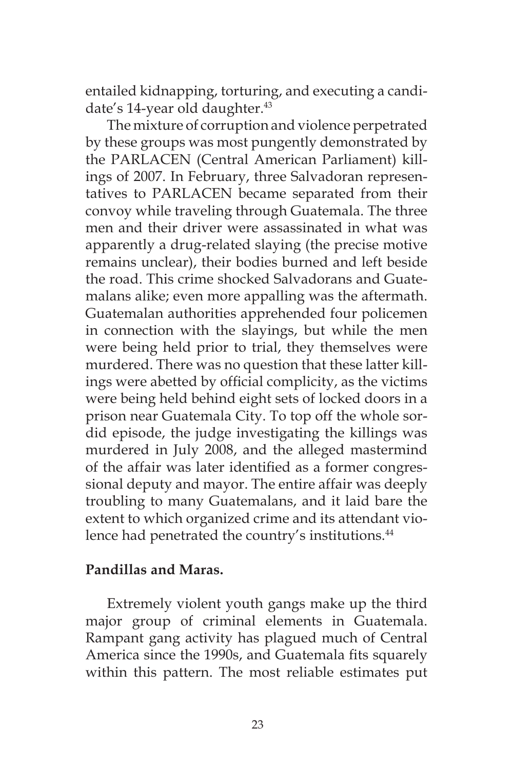entailed kidnapping, torturing, and executing a candidate's 14-year old daughter.<sup>43</sup>

The mixture of corruption and violence perpetrated by these groups was most pungently demonstrated by the PARLACEN (Central American Parliament) killings of 2007. In February, three Salvadoran representatives to PARLACEN became separated from their convoy while traveling through Guatemala. The three men and their driver were assassinated in what was apparently a drug-related slaying (the precise motive remains unclear), their bodies burned and left beside the road. This crime shocked Salvadorans and Guatemalans alike; even more appalling was the aftermath. Guatemalan authorities apprehended four policemen in connection with the slayings, but while the men were being held prior to trial, they themselves were murdered. There was no question that these latter killings were abetted by official complicity, as the victims were being held behind eight sets of locked doors in a prison near Guatemala City. To top off the whole sordid episode, the judge investigating the killings was murdered in July 2008, and the alleged mastermind of the affair was later identified as a former congressional deputy and mayor. The entire affair was deeply troubling to many Guatemalans, and it laid bare the extent to which organized crime and its attendant violence had penetrated the country's institutions.<sup>44</sup>

### **Pandillas and Maras.**

Extremely violent youth gangs make up the third major group of criminal elements in Guatemala. Rampant gang activity has plagued much of Central America since the 1990s, and Guatemala fits squarely within this pattern. The most reliable estimates put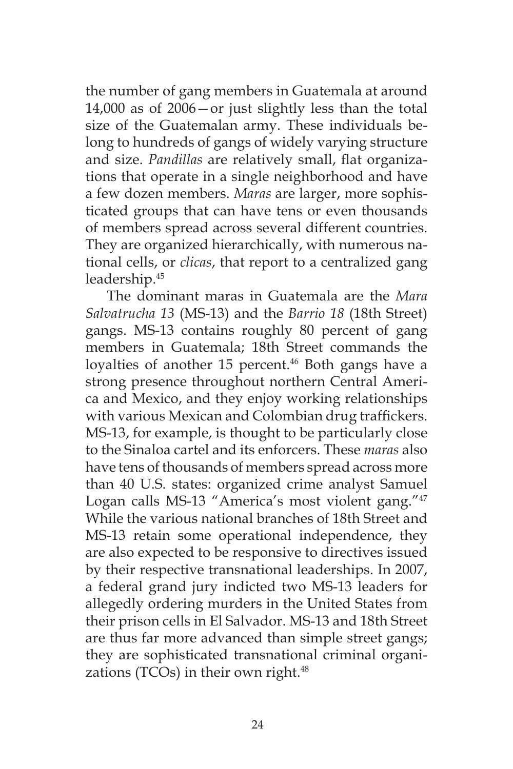the number of gang members in Guatemala at around 14,000 as of 2006—or just slightly less than the total size of the Guatemalan army. These individuals belong to hundreds of gangs of widely varying structure and size. *Pandillas* are relatively small, flat organizations that operate in a single neighborhood and have a few dozen members. *Maras* are larger, more sophisticated groups that can have tens or even thousands of members spread across several different countries. They are organized hierarchically, with numerous national cells, or *clicas*, that report to a centralized gang leadership.45

The dominant maras in Guatemala are the *Mara Salvatrucha 13* (MS-13) and the *Barrio 18* (18th Street) gangs. MS-13 contains roughly 80 percent of gang members in Guatemala; 18th Street commands the loyalties of another 15 percent.<sup>46</sup> Both gangs have a strong presence throughout northern Central America and Mexico, and they enjoy working relationships with various Mexican and Colombian drug traffickers. MS-13, for example, is thought to be particularly close to the Sinaloa cartel and its enforcers. These *maras* also have tens of thousands of members spread across more than 40 U.S. states: organized crime analyst Samuel Logan calls MS-13 "America's most violent gang."47 While the various national branches of 18th Street and MS-13 retain some operational independence, they are also expected to be responsive to directives issued by their respective transnational leaderships. In 2007, a federal grand jury indicted two MS-13 leaders for allegedly ordering murders in the United States from their prison cells in El Salvador. MS-13 and 18th Street are thus far more advanced than simple street gangs; they are sophisticated transnational criminal organizations (TCOs) in their own right. $48$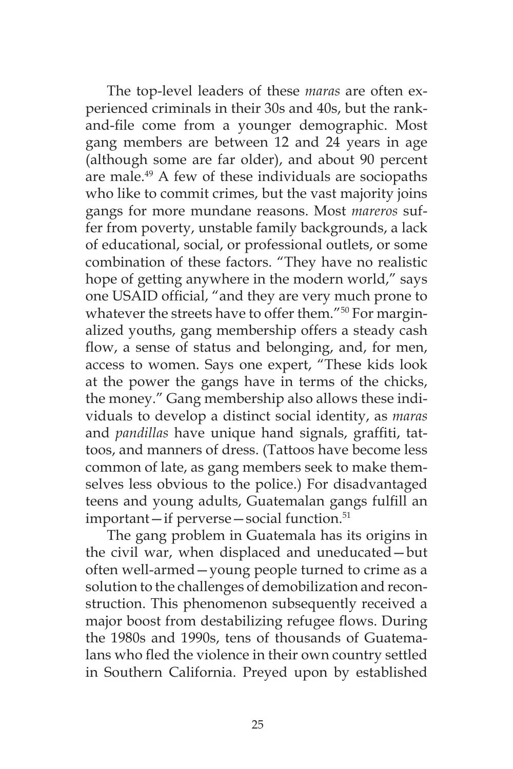The top-level leaders of these *maras* are often experienced criminals in their 30s and 40s, but the rankand-file come from a younger demographic. Most gang members are between 12 and 24 years in age (although some are far older), and about 90 percent are male.49 A few of these individuals are sociopaths who like to commit crimes, but the vast majority joins gangs for more mundane reasons. Most *mareros* suffer from poverty, unstable family backgrounds, a lack of educational, social, or professional outlets, or some combination of these factors. "They have no realistic hope of getting anywhere in the modern world," says one USAID official, "and they are very much prone to whatever the streets have to offer them."<sup>50</sup> For marginalized youths, gang membership offers a steady cash flow, a sense of status and belonging, and, for men, access to women. Says one expert, "These kids look at the power the gangs have in terms of the chicks, the money." Gang membership also allows these individuals to develop a distinct social identity, as *maras*  and *pandillas* have unique hand signals, graffiti, tattoos, and manners of dress. (Tattoos have become less common of late, as gang members seek to make themselves less obvious to the police.) For disadvantaged teens and young adults, Guatemalan gangs fulfill an important—if perverse—social function.<sup>51</sup>

The gang problem in Guatemala has its origins in the civil war, when displaced and uneducated—but often well-armed—young people turned to crime as a solution to the challenges of demobilization and reconstruction. This phenomenon subsequently received a major boost from destabilizing refugee flows. During the 1980s and 1990s, tens of thousands of Guatemalans who fled the violence in their own country settled in Southern California. Preyed upon by established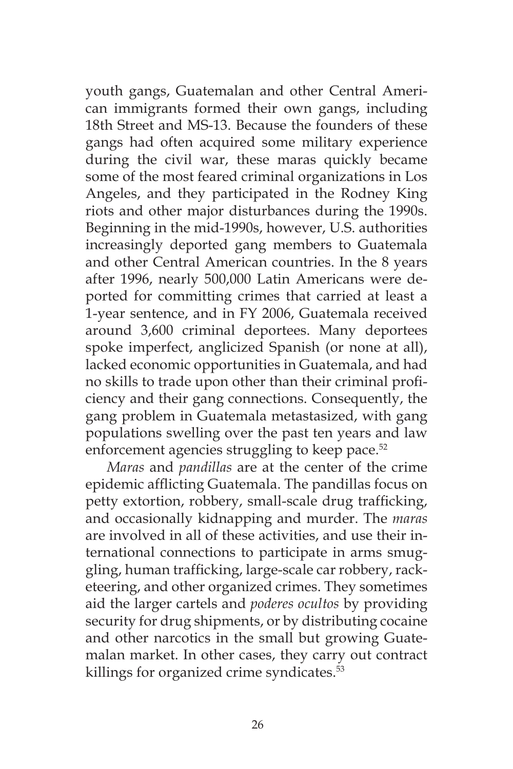youth gangs, Guatemalan and other Central American immigrants formed their own gangs, including 18th Street and MS-13. Because the founders of these gangs had often acquired some military experience during the civil war, these maras quickly became some of the most feared criminal organizations in Los Angeles, and they participated in the Rodney King riots and other major disturbances during the 1990s. Beginning in the mid-1990s, however, U.S. authorities increasingly deported gang members to Guatemala and other Central American countries. In the 8 years after 1996, nearly 500,000 Latin Americans were deported for committing crimes that carried at least a 1-year sentence, and in FY 2006, Guatemala received around 3,600 criminal deportees. Many deportees spoke imperfect, anglicized Spanish (or none at all), lacked economic opportunities in Guatemala, and had no skills to trade upon other than their criminal proficiency and their gang connections. Consequently, the gang problem in Guatemala metastasized, with gang populations swelling over the past ten years and law enforcement agencies struggling to keep pace.<sup>52</sup>

*Maras* and *pandillas* are at the center of the crime epidemic afflicting Guatemala. The pandillas focus on petty extortion, robbery, small-scale drug trafficking, and occasionally kidnapping and murder. The *maras*  are involved in all of these activities, and use their international connections to participate in arms smuggling, human trafficking, large-scale car robbery, racketeering, and other organized crimes. They sometimes aid the larger cartels and *poderes ocultos* by providing security for drug shipments, or by distributing cocaine and other narcotics in the small but growing Guatemalan market. In other cases, they carry out contract killings for organized crime syndicates.<sup>53</sup>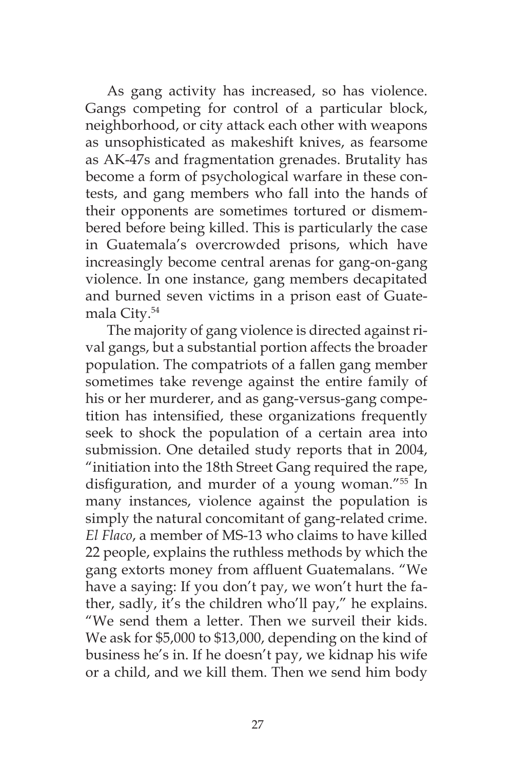As gang activity has increased, so has violence. Gangs competing for control of a particular block, neighborhood, or city attack each other with weapons as unsophisticated as makeshift knives, as fearsome as AK-47s and fragmentation grenades. Brutality has become a form of psychological warfare in these contests, and gang members who fall into the hands of their opponents are sometimes tortured or dismembered before being killed. This is particularly the case in Guatemala's overcrowded prisons, which have increasingly become central arenas for gang-on-gang violence. In one instance, gang members decapitated and burned seven victims in a prison east of Guatemala City.54

The majority of gang violence is directed against rival gangs, but a substantial portion affects the broader population. The compatriots of a fallen gang member sometimes take revenge against the entire family of his or her murderer, and as gang-versus-gang competition has intensified, these organizations frequently seek to shock the population of a certain area into submission. One detailed study reports that in 2004, "initiation into the 18th Street Gang required the rape, disfiguration, and murder of a young woman."55 In many instances, violence against the population is simply the natural concomitant of gang-related crime. *El Flaco*, a member of MS-13 who claims to have killed 22 people, explains the ruthless methods by which the gang extorts money from affluent Guatemalans. "We have a saying: If you don't pay, we won't hurt the father, sadly, it's the children who'll pay," he explains. "We send them a letter. Then we surveil their kids. We ask for \$5,000 to \$13,000, depending on the kind of business he's in. If he doesn't pay, we kidnap his wife or a child, and we kill them. Then we send him body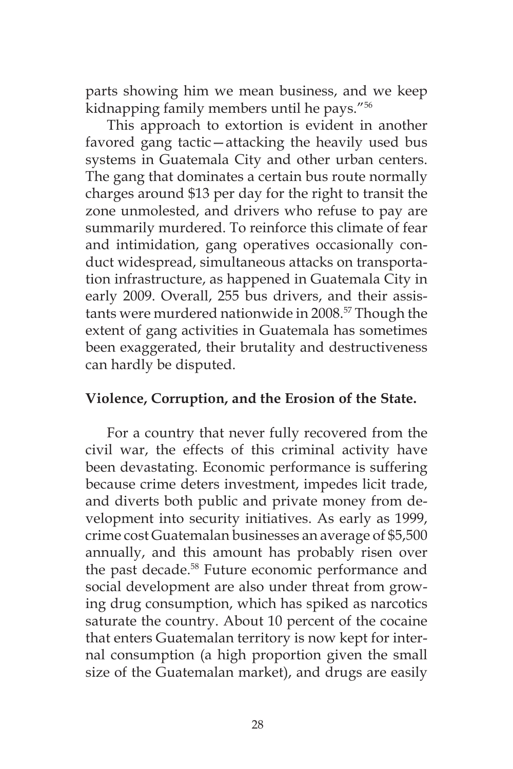parts showing him we mean business, and we keep kidnapping family members until he pays."56

This approach to extortion is evident in another favored gang tactic—attacking the heavily used bus systems in Guatemala City and other urban centers. The gang that dominates a certain bus route normally charges around \$13 per day for the right to transit the zone unmolested, and drivers who refuse to pay are summarily murdered. To reinforce this climate of fear and intimidation, gang operatives occasionally conduct widespread, simultaneous attacks on transportation infrastructure, as happened in Guatemala City in early 2009. Overall, 255 bus drivers, and their assistants were murdered nationwide in 2008.57 Though the extent of gang activities in Guatemala has sometimes been exaggerated, their brutality and destructiveness can hardly be disputed.

### **Violence, Corruption, and the Erosion of the State.**

For a country that never fully recovered from the civil war, the effects of this criminal activity have been devastating. Economic performance is suffering because crime deters investment, impedes licit trade, and diverts both public and private money from development into security initiatives. As early as 1999, crime cost Guatemalan businesses an average of \$5,500 annually, and this amount has probably risen over the past decade.<sup>58</sup> Future economic performance and social development are also under threat from growing drug consumption, which has spiked as narcotics saturate the country. About 10 percent of the cocaine that enters Guatemalan territory is now kept for internal consumption (a high proportion given the small size of the Guatemalan market), and drugs are easily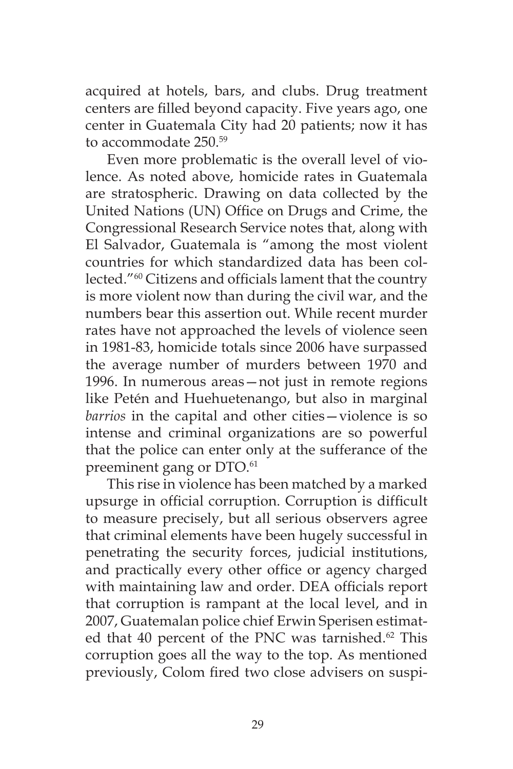acquired at hotels, bars, and clubs. Drug treatment centers are filled beyond capacity. Five years ago, one center in Guatemala City had 20 patients; now it has to accommodate 250.59

Even more problematic is the overall level of violence. As noted above, homicide rates in Guatemala are stratospheric. Drawing on data collected by the United Nations (UN) Office on Drugs and Crime, the Congressional Research Service notes that, along with El Salvador, Guatemala is "among the most violent countries for which standardized data has been collected."60 Citizens and officials lament that the country is more violent now than during the civil war, and the numbers bear this assertion out. While recent murder rates have not approached the levels of violence seen in 1981-83, homicide totals since 2006 have surpassed the average number of murders between 1970 and 1996. In numerous areas—not just in remote regions like Petén and Huehuetenango, but also in marginal *barrios* in the capital and other cities—violence is so intense and criminal organizations are so powerful that the police can enter only at the sufferance of the preeminent gang or DTO.<sup>61</sup>

This rise in violence has been matched by a marked upsurge in official corruption. Corruption is difficult to measure precisely, but all serious observers agree that criminal elements have been hugely successful in penetrating the security forces, judicial institutions, and practically every other office or agency charged with maintaining law and order. DEA officials report that corruption is rampant at the local level, and in 2007, Guatemalan police chief Erwin Sperisen estimated that 40 percent of the PNC was tarnished.<sup>62</sup> This corruption goes all the way to the top. As mentioned previously, Colom fired two close advisers on suspi-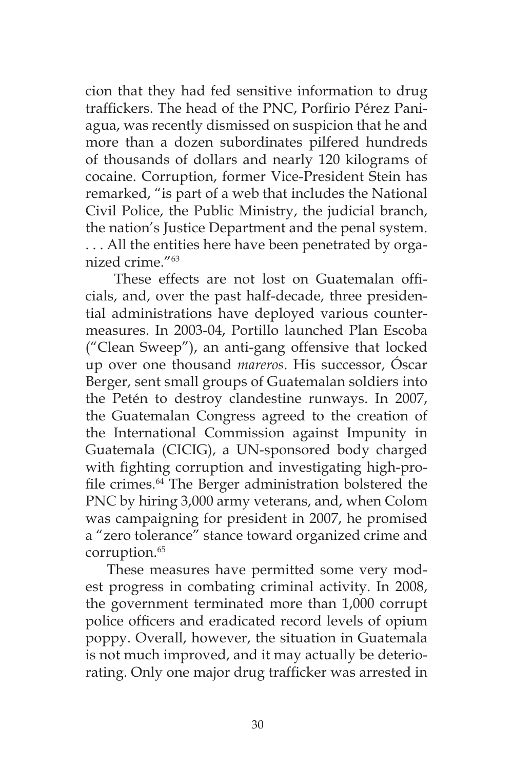cion that they had fed sensitive information to drug traffickers. The head of the PNC, Porfirio Pérez Paniagua, was recently dismissed on suspicion that he and more than a dozen subordinates pilfered hundreds of thousands of dollars and nearly 120 kilograms of cocaine. Corruption, former Vice-President Stein has remarked, "is part of a web that includes the National Civil Police, the Public Ministry, the judicial branch, the nation's Justice Department and the penal system. . . . All the entities here have been penetrated by organized crime."63

 These effects are not lost on Guatemalan officials, and, over the past half-decade, three presidential administrations have deployed various countermeasures. In 2003-04, Portillo launched Plan Escoba ("Clean Sweep"), an anti-gang offensive that locked up over one thousand *mareros*. His successor, Óscar Berger, sent small groups of Guatemalan soldiers into the Petén to destroy clandestine runways. In 2007, the Guatemalan Congress agreed to the creation of the International Commission against Impunity in Guatemala (CICIG), a UN-sponsored body charged with fighting corruption and investigating high-profile crimes.64 The Berger administration bolstered the PNC by hiring 3,000 army veterans, and, when Colom was campaigning for president in 2007, he promised a "zero tolerance" stance toward organized crime and corruption.<sup>65</sup>

These measures have permitted some very modest progress in combating criminal activity. In 2008, the government terminated more than 1,000 corrupt police officers and eradicated record levels of opium poppy. Overall, however, the situation in Guatemala is not much improved, and it may actually be deteriorating. Only one major drug trafficker was arrested in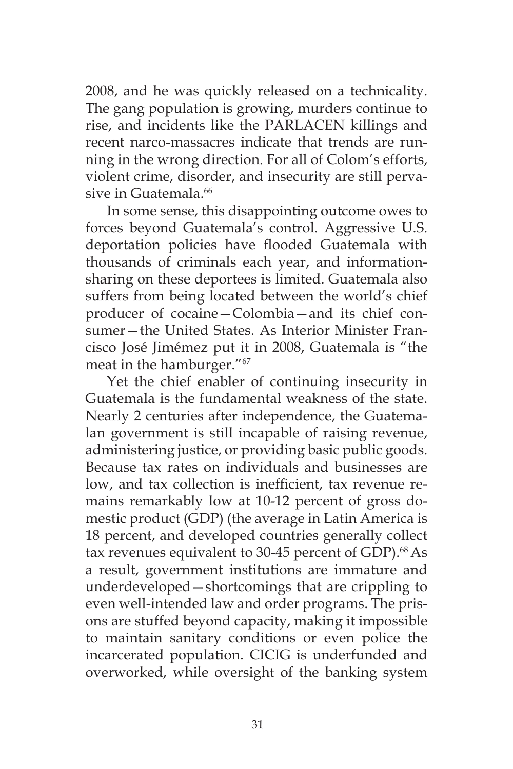2008, and he was quickly released on a technicality. The gang population is growing, murders continue to rise, and incidents like the PARLACEN killings and recent narco-massacres indicate that trends are running in the wrong direction. For all of Colom's efforts, violent crime, disorder, and insecurity are still pervasive in Guatemala.<sup>66</sup>

In some sense, this disappointing outcome owes to forces beyond Guatemala's control. Aggressive U.S. deportation policies have flooded Guatemala with thousands of criminals each year, and informationsharing on these deportees is limited. Guatemala also suffers from being located between the world's chief producer of cocaine—Colombia—and its chief consumer—the United States. As Interior Minister Francisco José Jimémez put it in 2008, Guatemala is "the meat in the hamburger."67

Yet the chief enabler of continuing insecurity in Guatemala is the fundamental weakness of the state. Nearly 2 centuries after independence, the Guatemalan government is still incapable of raising revenue, administering justice, or providing basic public goods. Because tax rates on individuals and businesses are low, and tax collection is inefficient, tax revenue remains remarkably low at 10-12 percent of gross domestic product (GDP) (the average in Latin America is 18 percent, and developed countries generally collect tax revenues equivalent to 30-45 percent of GDP).<sup>68</sup> As a result, government institutions are immature and underdeveloped—shortcomings that are crippling to even well-intended law and order programs. The prisons are stuffed beyond capacity, making it impossible to maintain sanitary conditions or even police the incarcerated population. CICIG is underfunded and overworked, while oversight of the banking system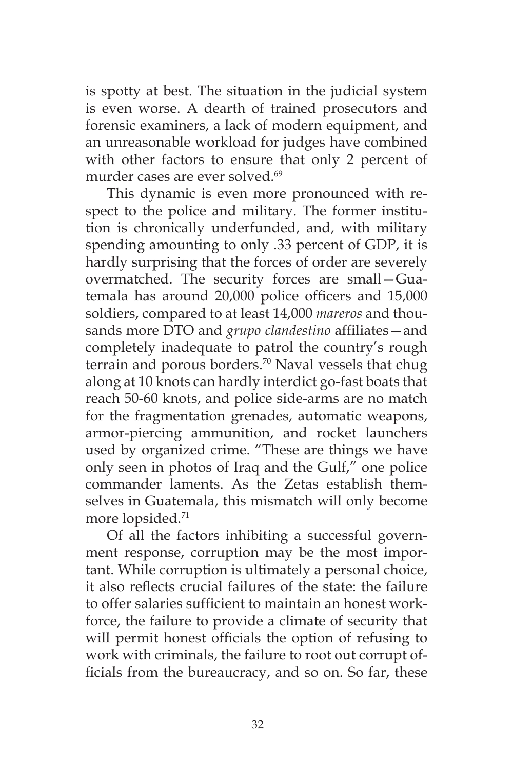is spotty at best. The situation in the judicial system is even worse. A dearth of trained prosecutors and forensic examiners, a lack of modern equipment, and an unreasonable workload for judges have combined with other factors to ensure that only 2 percent of murder cases are ever solved.<sup>69</sup>

This dynamic is even more pronounced with respect to the police and military. The former institution is chronically underfunded, and, with military spending amounting to only .33 percent of GDP, it is hardly surprising that the forces of order are severely overmatched. The security forces are small—Guatemala has around 20,000 police officers and 15,000 soldiers, compared to at least 14,000 *mareros* and thousands more DTO and *grupo clandestino* affiliates—and completely inadequate to patrol the country's rough terrain and porous borders.<sup>70</sup> Naval vessels that chug along at 10 knots can hardly interdict go-fast boats that reach 50-60 knots, and police side-arms are no match for the fragmentation grenades, automatic weapons, armor-piercing ammunition, and rocket launchers used by organized crime. "These are things we have only seen in photos of Iraq and the Gulf," one police commander laments. As the Zetas establish themselves in Guatemala, this mismatch will only become more lopsided.71

Of all the factors inhibiting a successful government response, corruption may be the most important. While corruption is ultimately a personal choice, it also reflects crucial failures of the state: the failure to offer salaries sufficient to maintain an honest workforce, the failure to provide a climate of security that will permit honest officials the option of refusing to work with criminals, the failure to root out corrupt officials from the bureaucracy, and so on. So far, these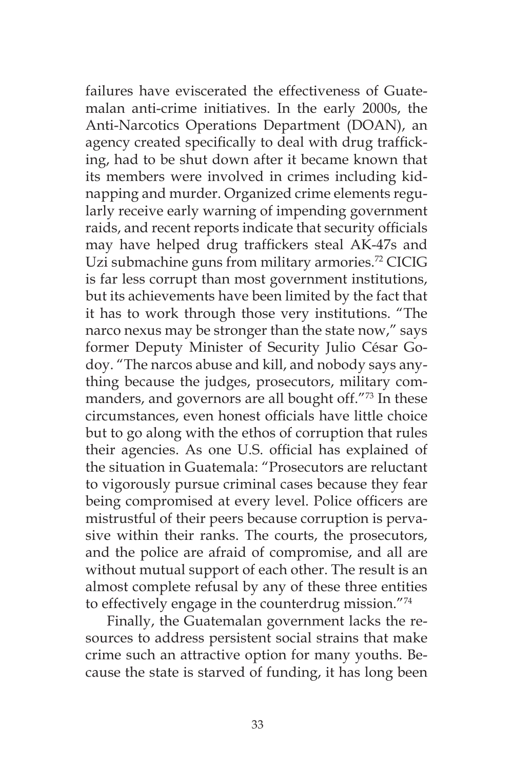failures have eviscerated the effectiveness of Guatemalan anti-crime initiatives. In the early 2000s, the Anti-Narcotics Operations Department (DOAN), an agency created specifically to deal with drug trafficking, had to be shut down after it became known that its members were involved in crimes including kidnapping and murder. Organized crime elements regularly receive early warning of impending government raids, and recent reports indicate that security officials may have helped drug traffickers steal AK-47s and Uzi submachine guns from military armories.<sup>72</sup> CICIG is far less corrupt than most government institutions, but its achievements have been limited by the fact that it has to work through those very institutions. "The narco nexus may be stronger than the state now," says former Deputy Minister of Security Julio César Godoy. "The narcos abuse and kill, and nobody says anything because the judges, prosecutors, military commanders, and governors are all bought off."73 In these circumstances, even honest officials have little choice but to go along with the ethos of corruption that rules their agencies. As one U.S. official has explained of the situation in Guatemala: "Prosecutors are reluctant to vigorously pursue criminal cases because they fear being compromised at every level. Police officers are mistrustful of their peers because corruption is pervasive within their ranks. The courts, the prosecutors, and the police are afraid of compromise, and all are without mutual support of each other. The result is an almost complete refusal by any of these three entities to effectively engage in the counterdrug mission."74

Finally, the Guatemalan government lacks the resources to address persistent social strains that make crime such an attractive option for many youths. Because the state is starved of funding, it has long been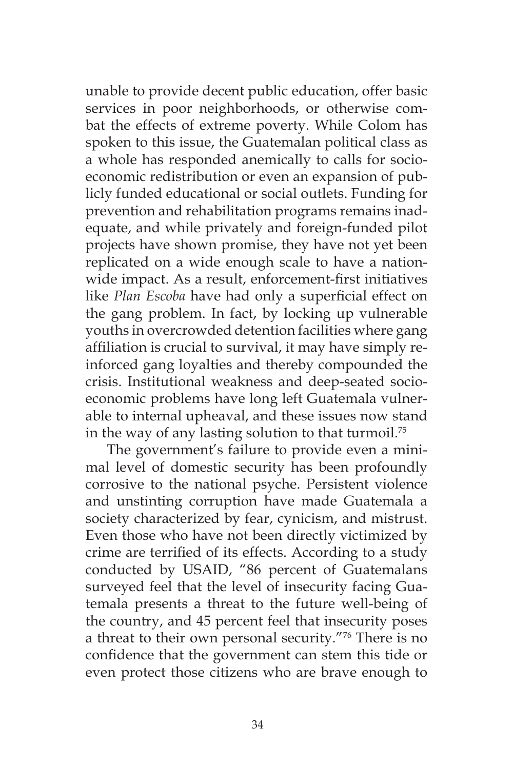unable to provide decent public education, offer basic services in poor neighborhoods, or otherwise combat the effects of extreme poverty. While Colom has spoken to this issue, the Guatemalan political class as a whole has responded anemically to calls for socioeconomic redistribution or even an expansion of publicly funded educational or social outlets. Funding for prevention and rehabilitation programs remains inadequate, and while privately and foreign-funded pilot projects have shown promise, they have not yet been replicated on a wide enough scale to have a nationwide impact. As a result, enforcement-first initiatives like *Plan Escoba* have had only a superficial effect on the gang problem. In fact, by locking up vulnerable youths in overcrowded detention facilities where gang affiliation is crucial to survival, it may have simply reinforced gang loyalties and thereby compounded the crisis. Institutional weakness and deep-seated socioeconomic problems have long left Guatemala vulnerable to internal upheaval, and these issues now stand in the way of any lasting solution to that turmoil.<sup>75</sup>

The government's failure to provide even a minimal level of domestic security has been profoundly corrosive to the national psyche. Persistent violence and unstinting corruption have made Guatemala a society characterized by fear, cynicism, and mistrust. Even those who have not been directly victimized by crime are terrified of its effects. According to a study conducted by USAID, "86 percent of Guatemalans surveyed feel that the level of insecurity facing Guatemala presents a threat to the future well-being of the country, and 45 percent feel that insecurity poses a threat to their own personal security."76 There is no confidence that the government can stem this tide or even protect those citizens who are brave enough to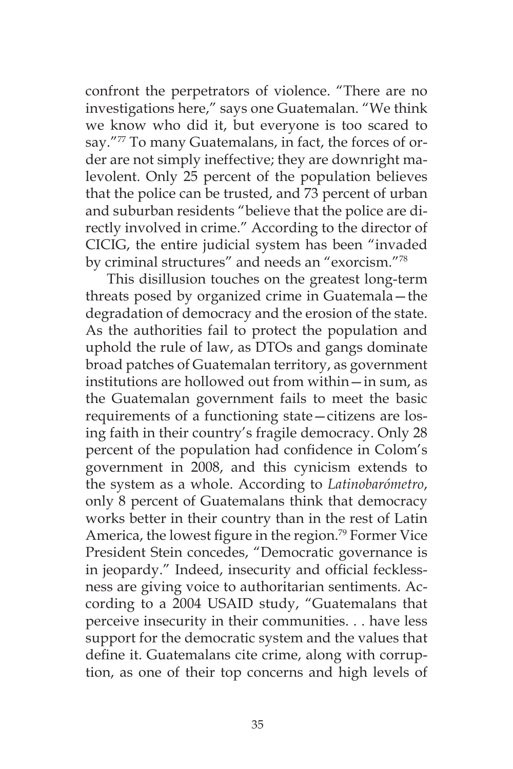confront the perpetrators of violence. "There are no investigations here," says one Guatemalan. "We think we know who did it, but everyone is too scared to say."77 To many Guatemalans, in fact, the forces of order are not simply ineffective; they are downright malevolent. Only 25 percent of the population believes that the police can be trusted, and 73 percent of urban and suburban residents "believe that the police are directly involved in crime." According to the director of CICIG, the entire judicial system has been "invaded by criminal structures" and needs an "exorcism."78

This disillusion touches on the greatest long-term threats posed by organized crime in Guatemala—the degradation of democracy and the erosion of the state. As the authorities fail to protect the population and uphold the rule of law, as DTOs and gangs dominate broad patches of Guatemalan territory, as government institutions are hollowed out from within—in sum, as the Guatemalan government fails to meet the basic requirements of a functioning state—citizens are losing faith in their country's fragile democracy. Only 28 percent of the population had confidence in Colom's government in 2008, and this cynicism extends to the system as a whole. According to *Latinobarómetro*, only 8 percent of Guatemalans think that democracy works better in their country than in the rest of Latin America, the lowest figure in the region.<sup>79</sup> Former Vice President Stein concedes, "Democratic governance is in jeopardy." Indeed, insecurity and official fecklessness are giving voice to authoritarian sentiments. According to a 2004 USAID study, "Guatemalans that perceive insecurity in their communities. . . have less support for the democratic system and the values that define it. Guatemalans cite crime, along with corruption, as one of their top concerns and high levels of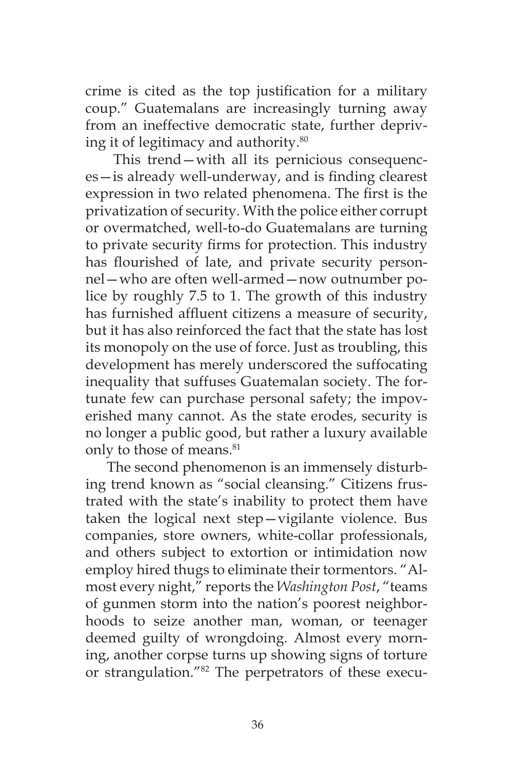crime is cited as the top justification for a military coup." Guatemalans are increasingly turning away from an ineffective democratic state, further depriving it of legitimacy and authority.80

 This trend—with all its pernicious consequences—is already well-underway, and is finding clearest expression in two related phenomena. The first is the privatization of security. With the police either corrupt or overmatched, well-to-do Guatemalans are turning to private security firms for protection. This industry has flourished of late, and private security personnel—who are often well-armed—now outnumber police by roughly 7.5 to 1. The growth of this industry has furnished affluent citizens a measure of security, but it has also reinforced the fact that the state has lost its monopoly on the use of force. Just as troubling, this development has merely underscored the suffocating inequality that suffuses Guatemalan society. The fortunate few can purchase personal safety; the impoverished many cannot. As the state erodes, security is no longer a public good, but rather a luxury available only to those of means.<sup>81</sup>

The second phenomenon is an immensely disturbing trend known as "social cleansing." Citizens frustrated with the state's inability to protect them have taken the logical next step—vigilante violence. Bus companies, store owners, white-collar professionals, and others subject to extortion or intimidation now employ hired thugs to eliminate their tormentors. "Almost every night," reports the *Washington Post*, "teams of gunmen storm into the nation's poorest neighborhoods to seize another man, woman, or teenager deemed guilty of wrongdoing. Almost every morning, another corpse turns up showing signs of torture or strangulation."82 The perpetrators of these execu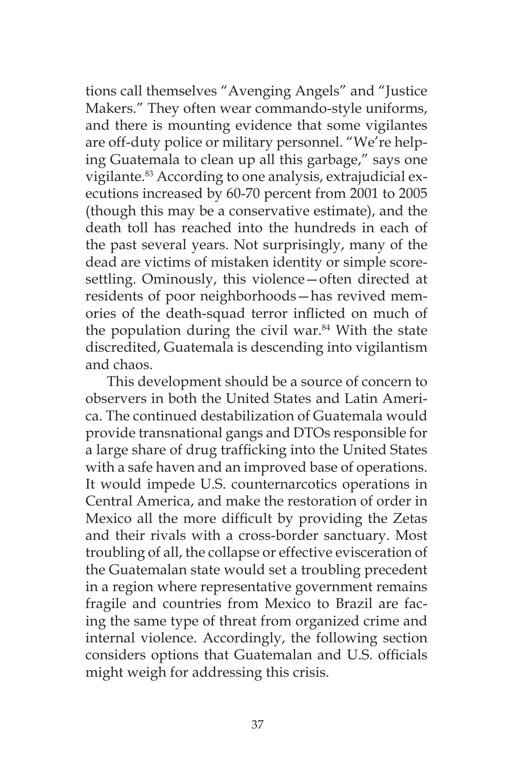tions call themselves "Avenging Angels" and "Justice Makers." They often wear commando-style uniforms, and there is mounting evidence that some vigilantes are off-duty police or military personnel. "We're helping Guatemala to clean up all this garbage," says one vigilante.<sup>83</sup> According to one analysis, extrajudicial executions increased by 60-70 percent from 2001 to 2005 (though this may be a conservative estimate), and the death toll has reached into the hundreds in each of the past several years. Not surprisingly, many of the dead are victims of mistaken identity or simple scoresettling. Ominously, this violence—often directed at residents of poor neighborhoods—has revived memories of the death-squad terror inflicted on much of the population during the civil war. $84$  With the state discredited, Guatemala is descending into vigilantism and chaos.

This development should be a source of concern to observers in both the United States and Latin America. The continued destabilization of Guatemala would provide transnational gangs and DTOs responsible for a large share of drug trafficking into the United States with a safe haven and an improved base of operations. It would impede U.S. counternarcotics operations in Central America, and make the restoration of order in Mexico all the more difficult by providing the Zetas and their rivals with a cross-border sanctuary. Most troubling of all, the collapse or effective evisceration of the Guatemalan state would set a troubling precedent in a region where representative government remains fragile and countries from Mexico to Brazil are facing the same type of threat from organized crime and internal violence. Accordingly, the following section considers options that Guatemalan and U.S. officials might weigh for addressing this crisis.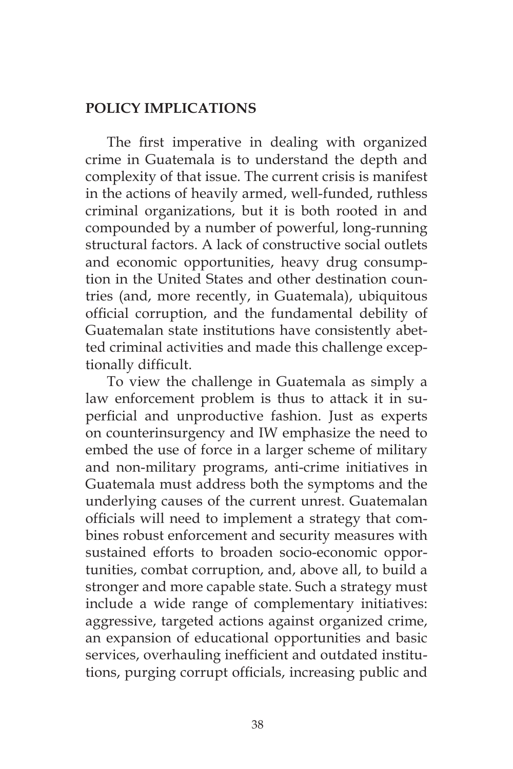# **POLICY IMPLICATIONS**

The first imperative in dealing with organized crime in Guatemala is to understand the depth and complexity of that issue. The current crisis is manifest in the actions of heavily armed, well-funded, ruthless criminal organizations, but it is both rooted in and compounded by a number of powerful, long-running structural factors. A lack of constructive social outlets and economic opportunities, heavy drug consumption in the United States and other destination countries (and, more recently, in Guatemala), ubiquitous official corruption, and the fundamental debility of Guatemalan state institutions have consistently abetted criminal activities and made this challenge exceptionally difficult.

To view the challenge in Guatemala as simply a law enforcement problem is thus to attack it in superficial and unproductive fashion. Just as experts on counterinsurgency and IW emphasize the need to embed the use of force in a larger scheme of military and non-military programs, anti-crime initiatives in Guatemala must address both the symptoms and the underlying causes of the current unrest. Guatemalan officials will need to implement a strategy that combines robust enforcement and security measures with sustained efforts to broaden socio-economic opportunities, combat corruption, and, above all, to build a stronger and more capable state. Such a strategy must include a wide range of complementary initiatives: aggressive, targeted actions against organized crime, an expansion of educational opportunities and basic services, overhauling inefficient and outdated institutions, purging corrupt officials, increasing public and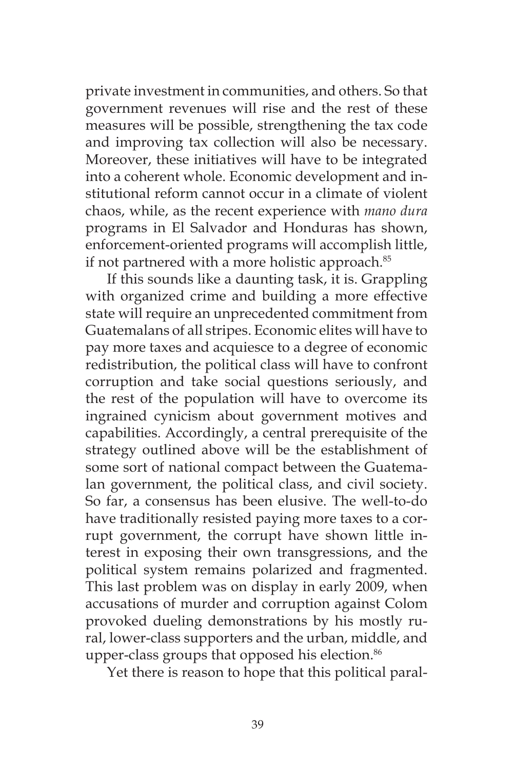private investment in communities, and others. So that government revenues will rise and the rest of these measures will be possible, strengthening the tax code and improving tax collection will also be necessary. Moreover, these initiatives will have to be integrated into a coherent whole. Economic development and institutional reform cannot occur in a climate of violent chaos, while, as the recent experience with *mano dura*  programs in El Salvador and Honduras has shown, enforcement-oriented programs will accomplish little, if not partnered with a more holistic approach.<sup>85</sup>

If this sounds like a daunting task, it is. Grappling with organized crime and building a more effective state will require an unprecedented commitment from Guatemalans of all stripes. Economic elites will have to pay more taxes and acquiesce to a degree of economic redistribution, the political class will have to confront corruption and take social questions seriously, and the rest of the population will have to overcome its ingrained cynicism about government motives and capabilities. Accordingly, a central prerequisite of the strategy outlined above will be the establishment of some sort of national compact between the Guatemalan government, the political class, and civil society. So far, a consensus has been elusive. The well-to-do have traditionally resisted paying more taxes to a corrupt government, the corrupt have shown little interest in exposing their own transgressions, and the political system remains polarized and fragmented. This last problem was on display in early 2009, when accusations of murder and corruption against Colom provoked dueling demonstrations by his mostly rural, lower-class supporters and the urban, middle, and upper-class groups that opposed his election.<sup>86</sup>

Yet there is reason to hope that this political paral-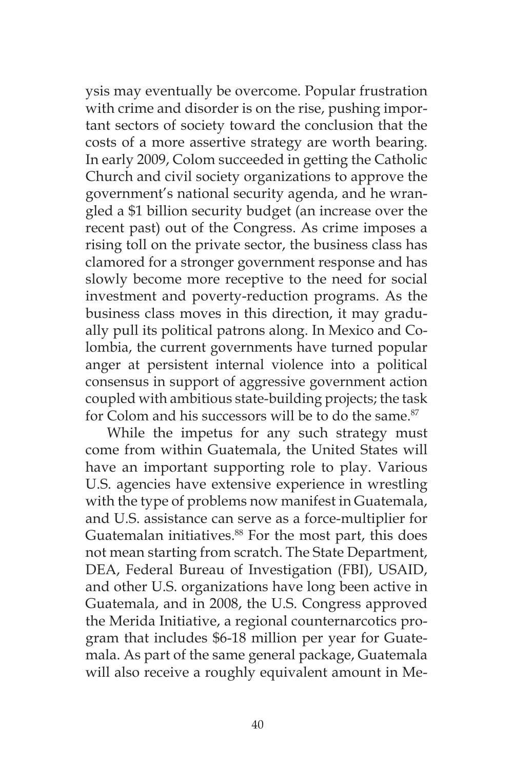ysis may eventually be overcome. Popular frustration with crime and disorder is on the rise, pushing important sectors of society toward the conclusion that the costs of a more assertive strategy are worth bearing. In early 2009, Colom succeeded in getting the Catholic Church and civil society organizations to approve the government's national security agenda, and he wrangled a \$1 billion security budget (an increase over the recent past) out of the Congress. As crime imposes a rising toll on the private sector, the business class has clamored for a stronger government response and has slowly become more receptive to the need for social investment and poverty-reduction programs. As the business class moves in this direction, it may gradually pull its political patrons along. In Mexico and Colombia, the current governments have turned popular anger at persistent internal violence into a political consensus in support of aggressive government action coupled with ambitious state-building projects; the task for Colom and his successors will be to do the same.<sup>87</sup>

While the impetus for any such strategy must come from within Guatemala, the United States will have an important supporting role to play. Various U.S. agencies have extensive experience in wrestling with the type of problems now manifest in Guatemala, and U.S. assistance can serve as a force-multiplier for Guatemalan initiatives.<sup>88</sup> For the most part, this does not mean starting from scratch. The State Department, DEA, Federal Bureau of Investigation (FBI), USAID, and other U.S. organizations have long been active in Guatemala, and in 2008, the U.S. Congress approved the Merida Initiative, a regional counternarcotics program that includes \$6-18 million per year for Guatemala. As part of the same general package, Guatemala will also receive a roughly equivalent amount in Me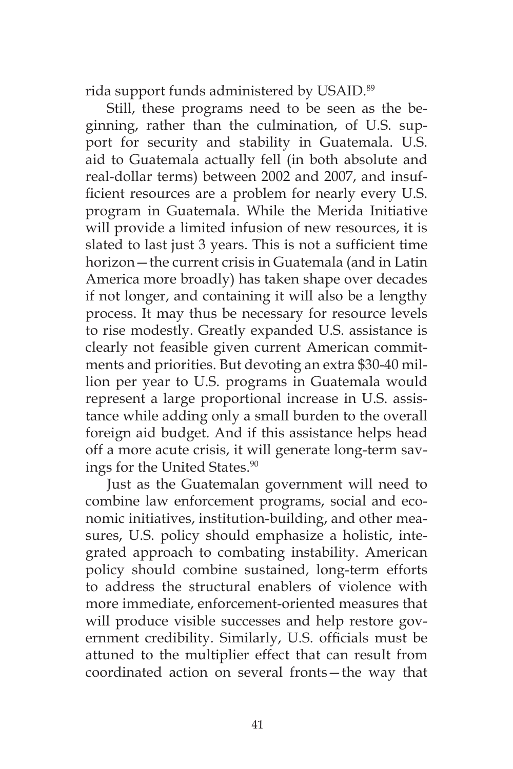rida support funds administered by USAID.<sup>89</sup>

Still, these programs need to be seen as the beginning, rather than the culmination, of U.S. support for security and stability in Guatemala. U.S. aid to Guatemala actually fell (in both absolute and real-dollar terms) between 2002 and 2007, and insufficient resources are a problem for nearly every U.S. program in Guatemala. While the Merida Initiative will provide a limited infusion of new resources, it is slated to last just 3 years. This is not a sufficient time horizon—the current crisis in Guatemala (and in Latin America more broadly) has taken shape over decades if not longer, and containing it will also be a lengthy process. It may thus be necessary for resource levels to rise modestly. Greatly expanded U.S. assistance is clearly not feasible given current American commitments and priorities. But devoting an extra \$30-40 million per year to U.S. programs in Guatemala would represent a large proportional increase in U.S. assistance while adding only a small burden to the overall foreign aid budget. And if this assistance helps head off a more acute crisis, it will generate long-term savings for the United States.<sup>90</sup>

Just as the Guatemalan government will need to combine law enforcement programs, social and economic initiatives, institution-building, and other measures, U.S. policy should emphasize a holistic, integrated approach to combating instability. American policy should combine sustained, long-term efforts to address the structural enablers of violence with more immediate, enforcement-oriented measures that will produce visible successes and help restore government credibility. Similarly, U.S. officials must be attuned to the multiplier effect that can result from coordinated action on several fronts—the way that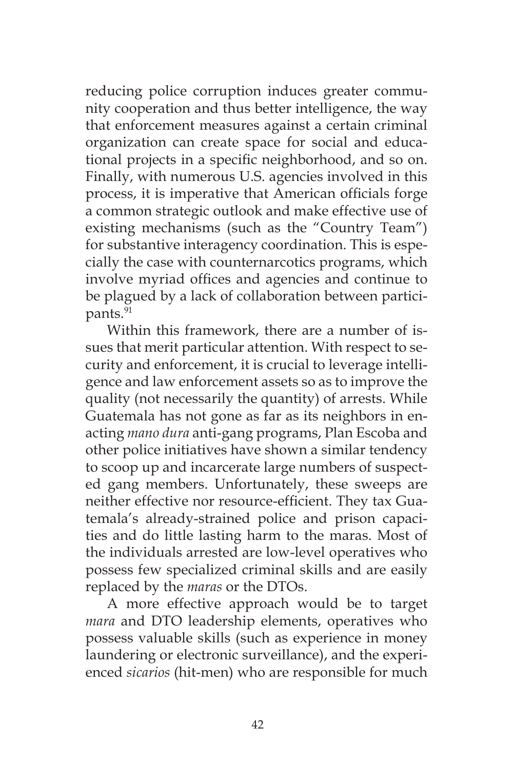reducing police corruption induces greater community cooperation and thus better intelligence, the way that enforcement measures against a certain criminal organization can create space for social and educational projects in a specific neighborhood, and so on. Finally, with numerous U.S. agencies involved in this process, it is imperative that American officials forge a common strategic outlook and make effective use of existing mechanisms (such as the "Country Team") for substantive interagency coordination. This is especially the case with counternarcotics programs, which involve myriad offices and agencies and continue to be plagued by a lack of collaboration between participants.<sup>91</sup>

Within this framework, there are a number of issues that merit particular attention. With respect to security and enforcement, it is crucial to leverage intelligence and law enforcement assets so as to improve the quality (not necessarily the quantity) of arrests. While Guatemala has not gone as far as its neighbors in enacting *mano dura* anti-gang programs, Plan Escoba and other police initiatives have shown a similar tendency to scoop up and incarcerate large numbers of suspected gang members. Unfortunately, these sweeps are neither effective nor resource-efficient. They tax Guatemala's already-strained police and prison capacities and do little lasting harm to the maras. Most of the individuals arrested are low-level operatives who possess few specialized criminal skills and are easily replaced by the *maras* or the DTOs.

A more effective approach would be to target *mara* and DTO leadership elements, operatives who possess valuable skills (such as experience in money laundering or electronic surveillance), and the experienced *sicarios* (hit-men) who are responsible for much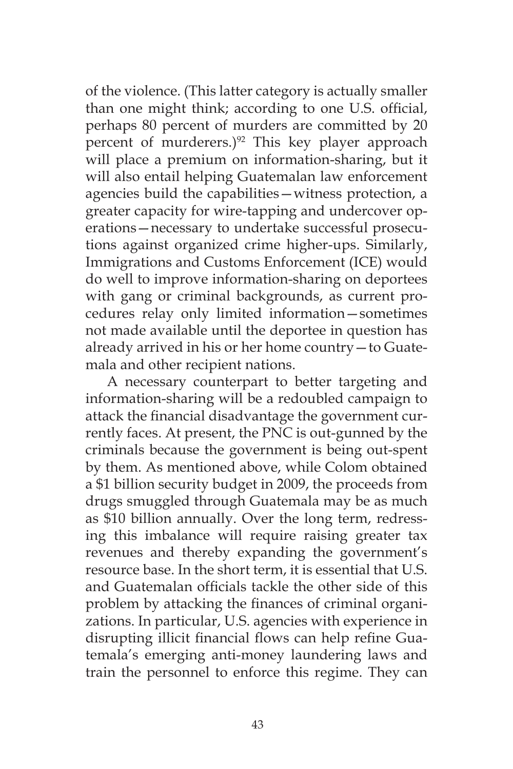of the violence. (This latter category is actually smaller than one might think; according to one U.S. official, perhaps 80 percent of murders are committed by 20 percent of murderers.)<sup>92</sup> This key player approach will place a premium on information-sharing, but it will also entail helping Guatemalan law enforcement agencies build the capabilities—witness protection, a greater capacity for wire-tapping and undercover operations—necessary to undertake successful prosecutions against organized crime higher-ups. Similarly, Immigrations and Customs Enforcement (ICE) would do well to improve information-sharing on deportees with gang or criminal backgrounds, as current procedures relay only limited information—sometimes not made available until the deportee in question has already arrived in his or her home country—to Guatemala and other recipient nations.

A necessary counterpart to better targeting and information-sharing will be a redoubled campaign to attack the financial disadvantage the government currently faces. At present, the PNC is out-gunned by the criminals because the government is being out-spent by them. As mentioned above, while Colom obtained a \$1 billion security budget in 2009, the proceeds from drugs smuggled through Guatemala may be as much as \$10 billion annually. Over the long term, redressing this imbalance will require raising greater tax revenues and thereby expanding the government's resource base. In the short term, it is essential that U.S. and Guatemalan officials tackle the other side of this problem by attacking the finances of criminal organizations. In particular, U.S. agencies with experience in disrupting illicit financial flows can help refine Guatemala's emerging anti-money laundering laws and train the personnel to enforce this regime. They can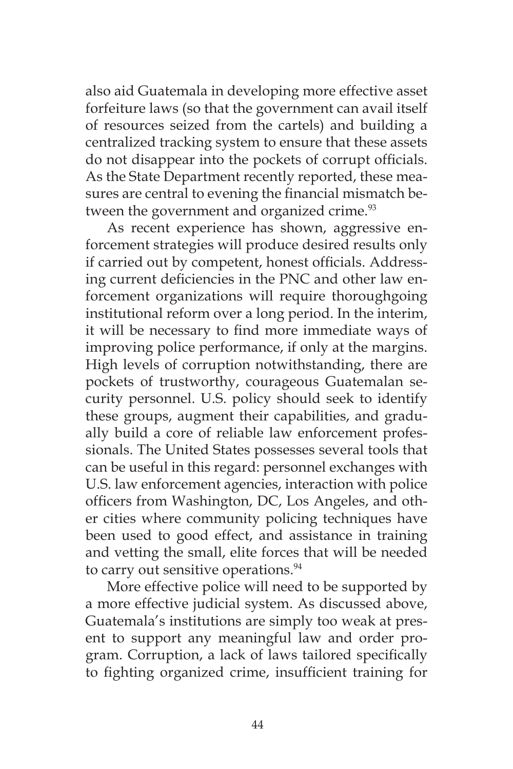also aid Guatemala in developing more effective asset forfeiture laws (so that the government can avail itself of resources seized from the cartels) and building a centralized tracking system to ensure that these assets do not disappear into the pockets of corrupt officials. As the State Department recently reported, these measures are central to evening the financial mismatch between the government and organized crime.<sup>93</sup>

As recent experience has shown, aggressive enforcement strategies will produce desired results only if carried out by competent, honest officials. Addressing current deficiencies in the PNC and other law enforcement organizations will require thoroughgoing institutional reform over a long period. In the interim, it will be necessary to find more immediate ways of improving police performance, if only at the margins. High levels of corruption notwithstanding, there are pockets of trustworthy, courageous Guatemalan security personnel. U.S. policy should seek to identify these groups, augment their capabilities, and gradually build a core of reliable law enforcement professionals. The United States possesses several tools that can be useful in this regard: personnel exchanges with U.S. law enforcement agencies, interaction with police officers from Washington, DC, Los Angeles, and other cities where community policing techniques have been used to good effect, and assistance in training and vetting the small, elite forces that will be needed to carry out sensitive operations.<sup>94</sup>

More effective police will need to be supported by a more effective judicial system. As discussed above, Guatemala's institutions are simply too weak at present to support any meaningful law and order program. Corruption, a lack of laws tailored specifically to fighting organized crime, insufficient training for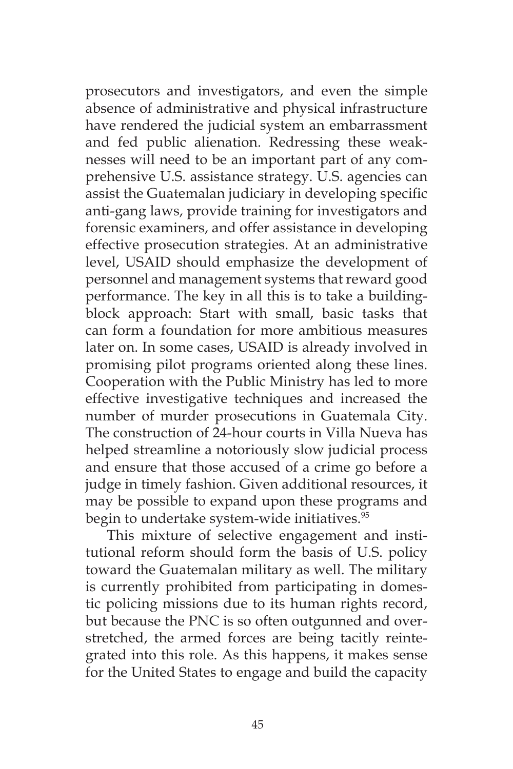prosecutors and investigators, and even the simple absence of administrative and physical infrastructure have rendered the judicial system an embarrassment and fed public alienation. Redressing these weaknesses will need to be an important part of any comprehensive U.S. assistance strategy. U.S. agencies can assist the Guatemalan judiciary in developing specific anti-gang laws, provide training for investigators and forensic examiners, and offer assistance in developing effective prosecution strategies. At an administrative level, USAID should emphasize the development of personnel and management systems that reward good performance. The key in all this is to take a buildingblock approach: Start with small, basic tasks that can form a foundation for more ambitious measures later on. In some cases, USAID is already involved in promising pilot programs oriented along these lines. Cooperation with the Public Ministry has led to more effective investigative techniques and increased the number of murder prosecutions in Guatemala City. The construction of 24-hour courts in Villa Nueva has helped streamline a notoriously slow judicial process and ensure that those accused of a crime go before a judge in timely fashion. Given additional resources, it may be possible to expand upon these programs and begin to undertake system-wide initiatives.<sup>95</sup>

This mixture of selective engagement and institutional reform should form the basis of U.S. policy toward the Guatemalan military as well. The military is currently prohibited from participating in domestic policing missions due to its human rights record, but because the PNC is so often outgunned and overstretched, the armed forces are being tacitly reintegrated into this role. As this happens, it makes sense for the United States to engage and build the capacity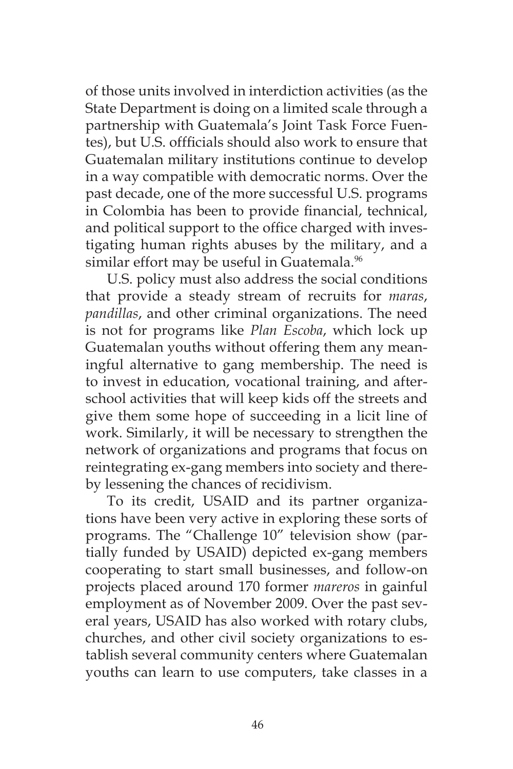of those units involved in interdiction activities (as the State Department is doing on a limited scale through a partnership with Guatemala's Joint Task Force Fuentes), but U.S. offficials should also work to ensure that Guatemalan military institutions continue to develop in a way compatible with democratic norms. Over the past decade, one of the more successful U.S. programs in Colombia has been to provide financial, technical, and political support to the office charged with investigating human rights abuses by the military, and a similar effort may be useful in Guatemala.<sup>96</sup>

U.S. policy must also address the social conditions that provide a steady stream of recruits for *maras*, *pandillas*, and other criminal organizations. The need is not for programs like *Plan Escoba*, which lock up Guatemalan youths without offering them any meaningful alternative to gang membership. The need is to invest in education, vocational training, and afterschool activities that will keep kids off the streets and give them some hope of succeeding in a licit line of work. Similarly, it will be necessary to strengthen the network of organizations and programs that focus on reintegrating ex-gang members into society and thereby lessening the chances of recidivism.

To its credit, USAID and its partner organizations have been very active in exploring these sorts of programs. The "Challenge 10" television show (partially funded by USAID) depicted ex-gang members cooperating to start small businesses, and follow-on projects placed around 170 former *mareros* in gainful employment as of November 2009. Over the past several years, USAID has also worked with rotary clubs, churches, and other civil society organizations to establish several community centers where Guatemalan youths can learn to use computers, take classes in a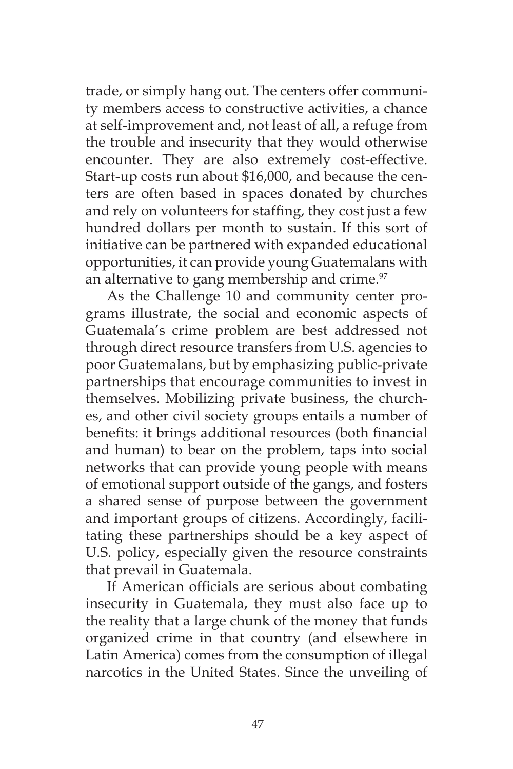trade, or simply hang out. The centers offer community members access to constructive activities, a chance at self-improvement and, not least of all, a refuge from the trouble and insecurity that they would otherwise encounter. They are also extremely cost-effective. Start-up costs run about \$16,000, and because the centers are often based in spaces donated by churches and rely on volunteers for staffing, they cost just a few hundred dollars per month to sustain. If this sort of initiative can be partnered with expanded educational opportunities, it can provide young Guatemalans with an alternative to gang membership and crime.<sup>97</sup>

As the Challenge 10 and community center programs illustrate, the social and economic aspects of Guatemala's crime problem are best addressed not through direct resource transfers from U.S. agencies to poor Guatemalans, but by emphasizing public-private partnerships that encourage communities to invest in themselves. Mobilizing private business, the churches, and other civil society groups entails a number of benefits: it brings additional resources (both financial and human) to bear on the problem, taps into social networks that can provide young people with means of emotional support outside of the gangs, and fosters a shared sense of purpose between the government and important groups of citizens. Accordingly, facilitating these partnerships should be a key aspect of U.S. policy, especially given the resource constraints that prevail in Guatemala.

If American officials are serious about combating insecurity in Guatemala, they must also face up to the reality that a large chunk of the money that funds organized crime in that country (and elsewhere in Latin America) comes from the consumption of illegal narcotics in the United States. Since the unveiling of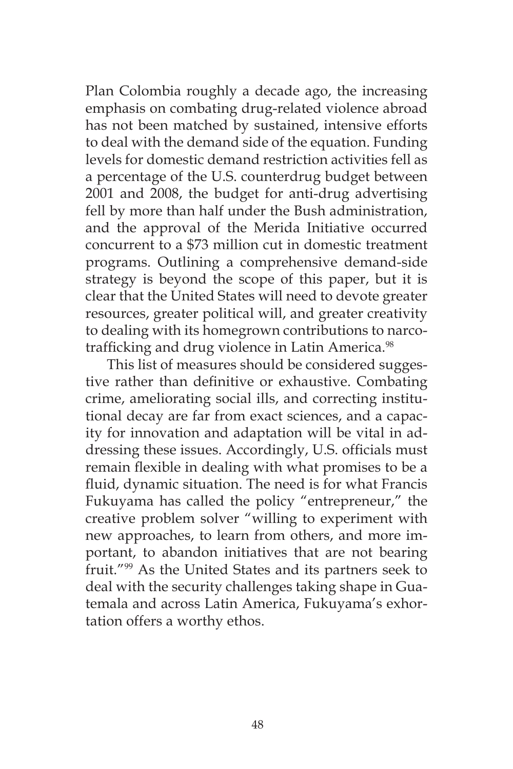Plan Colombia roughly a decade ago, the increasing emphasis on combating drug-related violence abroad has not been matched by sustained, intensive efforts to deal with the demand side of the equation. Funding levels for domestic demand restriction activities fell as a percentage of the U.S. counterdrug budget between 2001 and 2008, the budget for anti-drug advertising fell by more than half under the Bush administration, and the approval of the Merida Initiative occurred concurrent to a \$73 million cut in domestic treatment programs. Outlining a comprehensive demand-side strategy is beyond the scope of this paper, but it is clear that the United States will need to devote greater resources, greater political will, and greater creativity to dealing with its homegrown contributions to narcotrafficking and drug violence in Latin America.<sup>98</sup>

This list of measures should be considered suggestive rather than definitive or exhaustive. Combating crime, ameliorating social ills, and correcting institutional decay are far from exact sciences, and a capacity for innovation and adaptation will be vital in addressing these issues. Accordingly, U.S. officials must remain flexible in dealing with what promises to be a fluid, dynamic situation. The need is for what Francis Fukuyama has called the policy "entrepreneur," the creative problem solver "willing to experiment with new approaches, to learn from others, and more important, to abandon initiatives that are not bearing fruit."99 As the United States and its partners seek to deal with the security challenges taking shape in Guatemala and across Latin America, Fukuyama's exhortation offers a worthy ethos.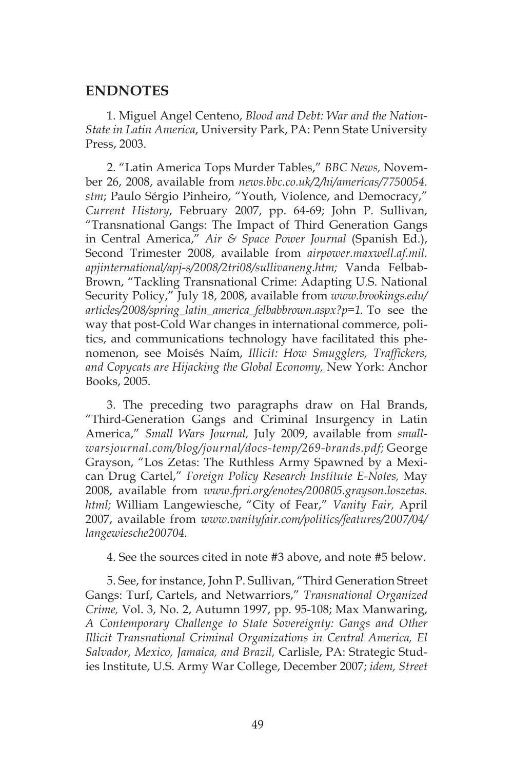#### **ENDNOTES**

1. Miguel Angel Centeno, *Blood and Debt: War and the Nation-State in Latin America*, University Park, PA: Penn State University Press, 2003.

2. "Latin America Tops Murder Tables," *BBC News,* November 26, 2008, available from *news.bbc.co.uk/2/hi/americas/7750054. stm*; Paulo Sérgio Pinheiro, "Youth, Violence, and Democracy," *Current History*, February 2007, pp. 64-69; John P. Sullivan, "Transnational Gangs: The Impact of Third Generation Gangs in Central America," *Air & Space Power Journal* (Spanish Ed.), Second Trimester 2008, available from *airpower.maxwell.af.mil. apjinternational/apj-s/2008/2tri08/sullivaneng.htm;* Vanda Felbab-Brown, "Tackling Transnational Crime: Adapting U.S. National Security Policy," July 18, 2008, available from *www.brookings.edu/ articles/2008/spring\_latin\_america\_felbabbrown.aspx?p=1.* To see the way that post-Cold War changes in international commerce, politics, and communications technology have facilitated this phenomenon, see Moisés Naím, *Illicit: How Smugglers, Traffickers, and Copycats are Hijacking the Global Economy,* New York: Anchor Books, 2005.

3. The preceding two paragraphs draw on Hal Brands, "Third-Generation Gangs and Criminal Insurgency in Latin America," *Small Wars Journal,* July 2009, available from *smallwarsjournal.com/blog/journal/docs-temp/269-brands.pdf;* George Grayson, "Los Zetas: The Ruthless Army Spawned by a Mexican Drug Cartel," *Foreign Policy Research Institute E-Notes,* May 2008, available from *www.fpri.org/enotes/200805.grayson.loszetas. html;* William Langewiesche, "City of Fear," *Vanity Fair,* April 2007, available from *www.vanityfair.com/politics/features/2007/04/ langewiesche200704.*

4. See the sources cited in note #3 above, and note #5 below.

5. See, for instance, John P. Sullivan, "Third Generation Street Gangs: Turf, Cartels, and Netwarriors," *Transnational Organized Crime,* Vol. 3, No. 2, Autumn 1997, pp. 95-108; Max Manwaring, *A Contemporary Challenge to State Sovereignty: Gangs and Other Illicit Transnational Criminal Organizations in Central America, El Salvador, Mexico, Jamaica, and Brazil,* Carlisle, PA: Strategic Studies Institute, U.S. Army War College, December 2007; *idem, Street*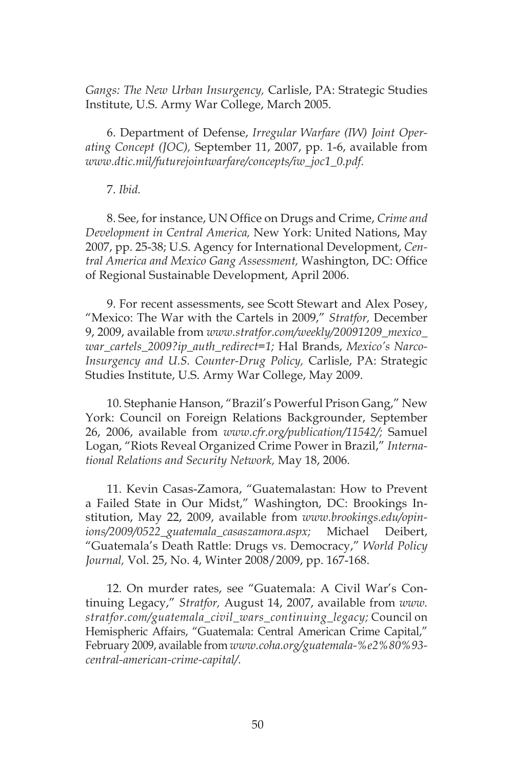*Gangs: The New Urban Insurgency,* Carlisle, PA: Strategic Studies Institute, U.S. Army War College, March 2005.

6. Department of Defense, *Irregular Warfare (IW) Joint Operating Concept (JOC),* September 11, 2007, pp. 1-6, available from *www.dtic.mil/futurejointwarfare/concepts/iw\_joc1\_0.pdf.* 

#### 7. *Ibid.*

8. See, for instance, UN Office on Drugs and Crime, *Crime and Development in Central America,* New York: United Nations, May 2007, pp. 25-38; U.S. Agency for International Development, *Central America and Mexico Gang Assessment,* Washington, DC: Office of Regional Sustainable Development, April 2006.

9. For recent assessments, see Scott Stewart and Alex Posey, "Mexico: The War with the Cartels in 2009," *Stratfor,* December 9, 2009, available from *www.stratfor.com/weekly/20091209\_mexico\_ war\_cartels\_2009?ip\_auth\_redirect=1;* Hal Brands, *Mexico's Narco-Insurgency and U.S. Counter-Drug Policy,* Carlisle, PA: Strategic Studies Institute, U.S. Army War College, May 2009.

10. Stephanie Hanson, "Brazil's Powerful Prison Gang," New York: Council on Foreign Relations Backgrounder, September 26, 2006, available from *www.cfr.org/publication/11542/;* Samuel Logan, "Riots Reveal Organized Crime Power in Brazil," *International Relations and Security Network,* May 18, 2006.

11. Kevin Casas-Zamora, "Guatemalastan: How to Prevent a Failed State in Our Midst," Washington, DC: Brookings Institution, May 22, 2009, available from *www.brookings.edu/opinions/2009/0522\_guatemala\_casaszamora.aspx;* Michael Deibert, "Guatemala's Death Rattle: Drugs vs. Democracy," *World Policy Journal,* Vol. 25, No. 4, Winter 2008/2009, pp. 167-168.

12. On murder rates, see "Guatemala: A Civil War's Continuing Legacy," *Stratfor,* August 14, 2007, available from *www. stratfor.com/guatemala\_civil\_wars\_continuing\_legacy;* Council on Hemispheric Affairs, "Guatemala: Central American Crime Capital," February 2009, available from *www.coha.org/guatemala-%e2%80%93 central-american-crime-capital/.*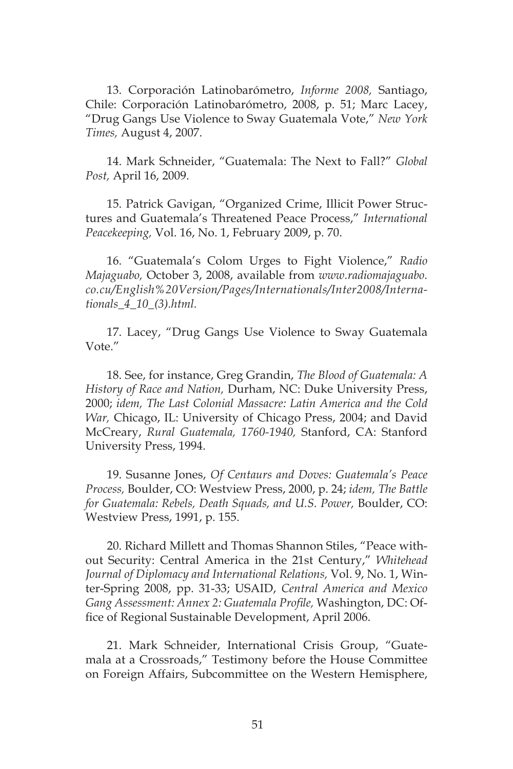13. Corporación Latinobarómetro, *Informe 2008,* Santiago, Chile: Corporación Latinobarómetro, 2008, p. 51; Marc Lacey, "Drug Gangs Use Violence to Sway Guatemala Vote," *New York Times,* August 4, 2007.

14. Mark Schneider, "Guatemala: The Next to Fall?" *Global Post,* April 16, 2009.

15. Patrick Gavigan, "Organized Crime, Illicit Power Structures and Guatemala's Threatened Peace Process," *International Peacekeeping,* Vol. 16, No. 1, February 2009, p. 70.

16. "Guatemala's Colom Urges to Fight Violence," *Radio Majaguabo,* October 3, 2008, available from *www.radiomajaguabo. co.cu/English%20Version/Pages/Internationals/Inter2008/Internationals\_4\_10\_(3).html.* 

17. Lacey, "Drug Gangs Use Violence to Sway Guatemala Vote."

18. See, for instance, Greg Grandin, *The Blood of Guatemala: A History of Race and Nation,* Durham, NC: Duke University Press, 2000; *idem, The Last Colonial Massacre: Latin America and the Cold War,* Chicago, IL: University of Chicago Press, 2004; and David McCreary, *Rural Guatemala, 1760-1940,* Stanford, CA: Stanford University Press, 1994.

19. Susanne Jones, *Of Centaurs and Doves: Guatemala's Peace Process,* Boulder, CO: Westview Press, 2000, p. 24; *idem, The Battle for Guatemala: Rebels, Death Squads, and U.S. Power,* Boulder, CO: Westview Press, 1991, p. 155.

20. Richard Millett and Thomas Shannon Stiles, "Peace without Security: Central America in the 21st Century," *Whitehead Journal of Diplomacy and International Relations,* Vol. 9, No. 1, Winter-Spring 2008, pp. 31-33; USAID, *Central America and Mexico Gang Assessment: Annex 2: Guatemala Profile,* Washington, DC: Office of Regional Sustainable Development, April 2006.

21. Mark Schneider, International Crisis Group, "Guatemala at a Crossroads," Testimony before the House Committee on Foreign Affairs, Subcommittee on the Western Hemisphere,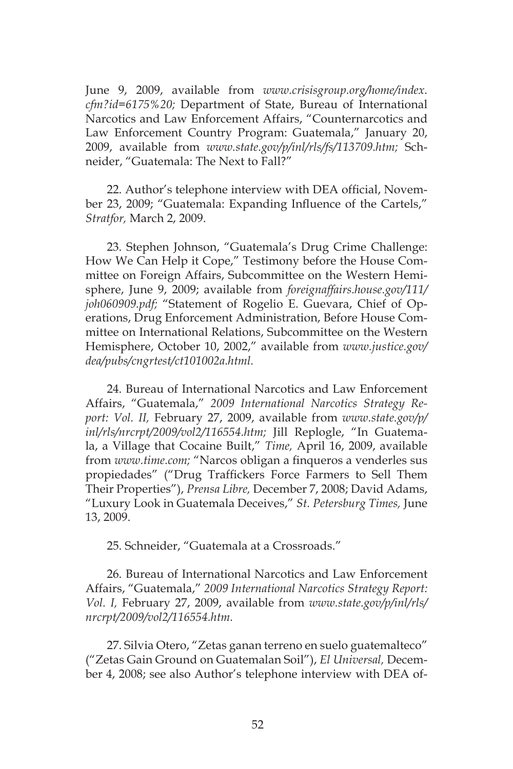June 9, 2009, available from *www.crisisgroup.org/home/index. cfm?id=6175%20;* Department of State, Bureau of International Narcotics and Law Enforcement Affairs, "Counternarcotics and Law Enforcement Country Program: Guatemala," January 20, 2009, available from *www.state.gov/p/inl/rls/fs/113709.htm;* Schneider, "Guatemala: The Next to Fall?"

22. Author's telephone interview with DEA official, November 23, 2009; "Guatemala: Expanding Influence of the Cartels," *Stratfor,* March 2, 2009.

23. Stephen Johnson, "Guatemala's Drug Crime Challenge: How We Can Help it Cope," Testimony before the House Committee on Foreign Affairs, Subcommittee on the Western Hemisphere, June 9, 2009; available from *foreignaffairs.house.gov/111/ joh060909.pdf;* "Statement of Rogelio E. Guevara, Chief of Operations, Drug Enforcement Administration, Before House Committee on International Relations, Subcommittee on the Western Hemisphere, October 10, 2002," available from *www.justice.gov/ dea/pubs/cngrtest/ct101002a.html.* 

24. Bureau of International Narcotics and Law Enforcement Affairs, "Guatemala," *2009 International Narcotics Strategy Report: Vol. II,* February 27, 2009, available from *www.state.gov/p/ inl/rls/nrcrpt/2009/vol2/116554.htm;* Jill Replogle, "In Guatemala, a Village that Cocaine Built," *Time,* April 16, 2009, available from *www.time.com;* "Narcos obligan a finqueros a venderles sus propiedades" ("Drug Traffickers Force Farmers to Sell Them Their Properties"), *Prensa Libre,* December 7, 2008; David Adams, "Luxury Look in Guatemala Deceives," *St. Petersburg Times,* June 13, 2009.

25. Schneider, "Guatemala at a Crossroads."

26. Bureau of International Narcotics and Law Enforcement Affairs, "Guatemala," *2009 International Narcotics Strategy Report: Vol. I,* February 27, 2009, available from *www.state.gov/p/inl/rls/ nrcrpt/2009/vol2/116554.htm.* 

27. Silvia Otero, "Zetas ganan terreno en suelo guatemalteco" ("Zetas Gain Ground on Guatemalan Soil"), *El Universal,* December 4, 2008; see also Author's telephone interview with DEA of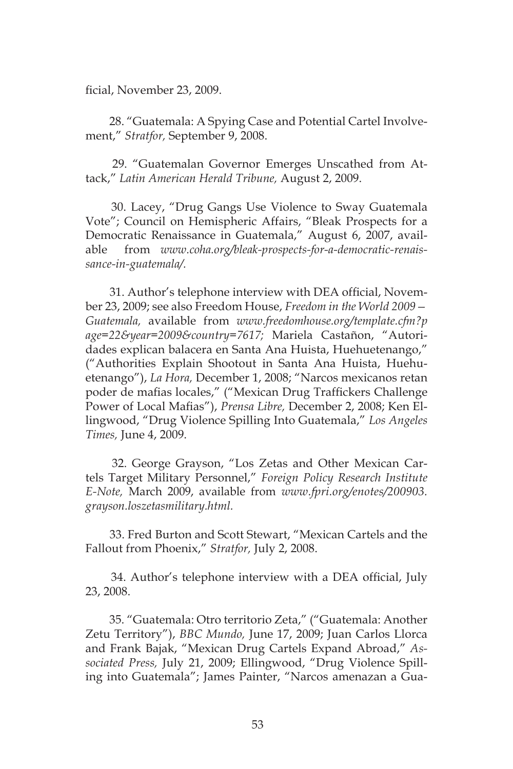ficial, November 23, 2009.

 28. "Guatemala: A Spying Case and Potential Cartel Involvement," *Stratfor,* September 9, 2008.

 29. "Guatemalan Governor Emerges Unscathed from Attack," *Latin American Herald Tribune,* August 2, 2009.

 30. Lacey, "Drug Gangs Use Violence to Sway Guatemala Vote"; Council on Hemispheric Affairs, "Bleak Prospects for a Democratic Renaissance in Guatemala," August 6, 2007, available from *www.coha.org/bleak-prospects-for-a-democratic-renaissance-in-guatemala/.* 

 31. Author's telephone interview with DEA official, November 23, 2009; see also Freedom House, *Freedom in the World 2009— Guatemala,* available from *www.freedomhouse.org/template.cfm?p age=22&year=2009&country=7617;* Mariela Castañon, "Autoridades explican balacera en Santa Ana Huista, Huehuetenango," ("Authorities Explain Shootout in Santa Ana Huista, Huehuetenango"), *La Hora,* December 1, 2008; "Narcos mexicanos retan poder de mafias locales," ("Mexican Drug Traffickers Challenge Power of Local Mafias"), *Prensa Libre,* December 2, 2008; Ken Ellingwood, "Drug Violence Spilling Into Guatemala," *Los Angeles Times,* June 4, 2009.

 32. George Grayson, "Los Zetas and Other Mexican Cartels Target Military Personnel," *Foreign Policy Research Institute E-Note,* March 2009, available from *www.fpri.org/enotes/200903. grayson.loszetasmilitary.html.* 

 33. Fred Burton and Scott Stewart, "Mexican Cartels and the Fallout from Phoenix," *Stratfor,* July 2, 2008.

 34. Author's telephone interview with a DEA official, July 23, 2008.

 35. "Guatemala: Otro territorio Zeta," ("Guatemala: Another Zetu Territory"), *BBC Mundo,* June 17, 2009; Juan Carlos Llorca and Frank Bajak, "Mexican Drug Cartels Expand Abroad," *Associated Press,* July 21, 2009; Ellingwood, "Drug Violence Spilling into Guatemala"; James Painter, "Narcos amenazan a Gua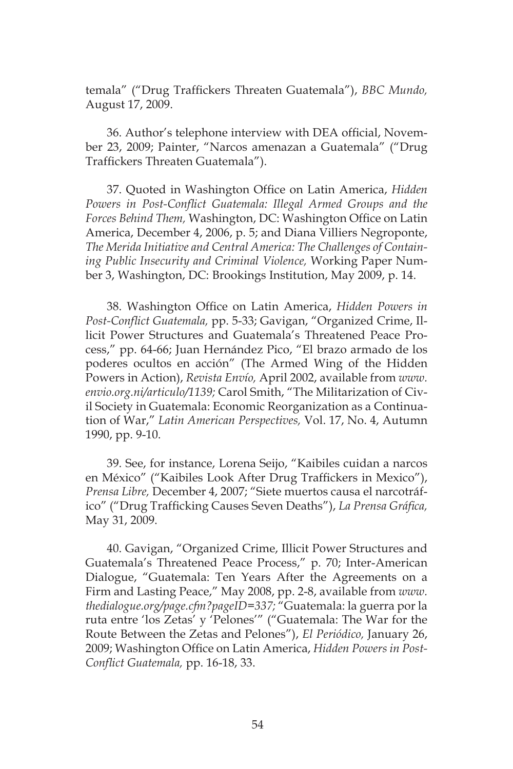temala" ("Drug Traffickers Threaten Guatemala"), *BBC Mundo,* August 17, 2009.

36. Author's telephone interview with DEA official, November 23, 2009; Painter, "Narcos amenazan a Guatemala" ("Drug Traffickers Threaten Guatemala").

37. Quoted in Washington Office on Latin America, *Hidden Powers in Post-Conflict Guatemala: Illegal Armed Groups and the Forces Behind Them,* Washington, DC: Washington Office on Latin America, December 4, 2006, p. 5; and Diana Villiers Negroponte, *The Merida Initiative and Central America: The Challenges of Containing Public Insecurity and Criminal Violence,* Working Paper Number 3, Washington, DC: Brookings Institution, May 2009, p. 14.

38. Washington Office on Latin America, *Hidden Powers in Post-Conflict Guatemala,* pp. 5-33; Gavigan, "Organized Crime, Illicit Power Structures and Guatemala's Threatened Peace Process," pp. 64-66; Juan Hernández Pico, "El brazo armado de los poderes ocultos en acción" (The Armed Wing of the Hidden Powers in Action), *Revista Envío,* April 2002, available from *www. envio.org.ni/articulo/1139;* Carol Smith, "The Militarization of Civil Society in Guatemala: Economic Reorganization as a Continuation of War," *Latin American Perspectives,* Vol. 17, No. 4, Autumn 1990, pp. 9-10.

39. See, for instance, Lorena Seijo, "Kaibiles cuidan a narcos en México" ("Kaibiles Look After Drug Traffickers in Mexico"), *Prensa Libre,* December 4, 2007; "Siete muertos causa el narcotráfico" ("Drug Trafficking Causes Seven Deaths"), *La Prensa Gráfica,*  May 31, 2009.

40. Gavigan, "Organized Crime, Illicit Power Structures and Guatemala's Threatened Peace Process," p. 70; Inter-American Dialogue, "Guatemala: Ten Years After the Agreements on a Firm and Lasting Peace," May 2008, pp. 2-8, available from *www. thedialogue.org/page.cfm?pageID=337;* "Guatemala: la guerra por la ruta entre 'los Zetas' y 'Pelones'" ("Guatemala: The War for the Route Between the Zetas and Pelones"), *El Periódico,* January 26, 2009; Washington Office on Latin America, *Hidden Powers in Post-Conflict Guatemala,* pp. 16-18, 33.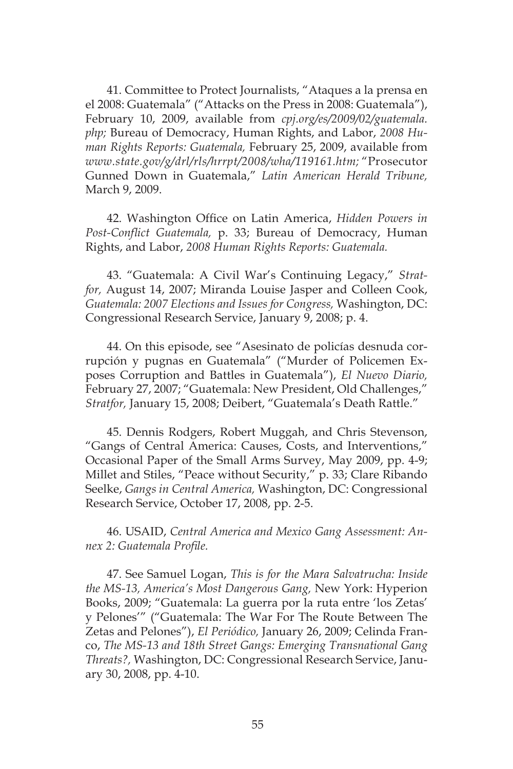41. Committee to Protect Journalists, "Ataques a la prensa en el 2008: Guatemala" ("Attacks on the Press in 2008: Guatemala"), February 10, 2009, available from *cpj.org/es/2009/02/guatemala. php;* Bureau of Democracy, Human Rights, and Labor, *2008 Human Rights Reports: Guatemala,* February 25, 2009, available from *www.state.gov/g/drl/rls/hrrpt/2008/wha/119161.htm;* "Prosecutor Gunned Down in Guatemala," *Latin American Herald Tribune,*  March 9, 2009.

42. Washington Office on Latin America, *Hidden Powers in Post-Conflict Guatemala,* p. 33; Bureau of Democracy, Human Rights, and Labor, *2008 Human Rights Reports: Guatemala.* 

43. "Guatemala: A Civil War's Continuing Legacy," *Stratfor,* August 14, 2007; Miranda Louise Jasper and Colleen Cook, *Guatemala: 2007 Elections and Issues for Congress,* Washington, DC: Congressional Research Service, January 9, 2008; p. 4.

44. On this episode, see "Asesinato de policías desnuda corrupción y pugnas en Guatemala" ("Murder of Policemen Exposes Corruption and Battles in Guatemala"), *El Nuevo Diario,*  February 27, 2007; "Guatemala: New President, Old Challenges," *Stratfor,* January 15, 2008; Deibert, "Guatemala's Death Rattle."

45. Dennis Rodgers, Robert Muggah, and Chris Stevenson, "Gangs of Central America: Causes, Costs, and Interventions," Occasional Paper of the Small Arms Survey, May 2009, pp. 4-9; Millet and Stiles, "Peace without Security," p. 33; Clare Ribando Seelke, *Gangs in Central America,* Washington, DC: Congressional Research Service, October 17, 2008, pp. 2-5.

46. USAID, *Central America and Mexico Gang Assessment: Annex 2: Guatemala Profile.* 

47. See Samuel Logan, *This is for the Mara Salvatrucha: Inside the MS-13, America's Most Dangerous Gang,* New York: Hyperion Books, 2009; "Guatemala: La guerra por la ruta entre 'los Zetas' y Pelones'" ("Guatemala: The War For The Route Between The Zetas and Pelones"), *El Periódico,* January 26, 2009; Celinda Franco, *The MS-13 and 18th Street Gangs: Emerging Transnational Gang Threats?,* Washington, DC: Congressional Research Service, January 30, 2008, pp. 4-10.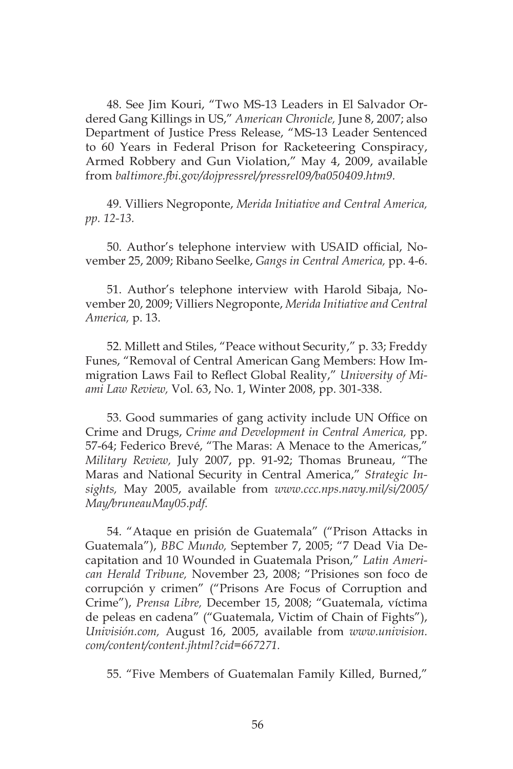48. See Jim Kouri, "Two MS-13 Leaders in El Salvador Ordered Gang Killings in US," *American Chronicle,* June 8, 2007; also Department of Justice Press Release, "MS-13 Leader Sentenced to 60 Years in Federal Prison for Racketeering Conspiracy, Armed Robbery and Gun Violation," May 4, 2009, available from *baltimore.fbi.gov/dojpressrel/pressrel09/ba050409.htm9.* 

49. Villiers Negroponte, *Merida Initiative and Central America, pp. 12-13.* 

50. Author's telephone interview with USAID official, November 25, 2009; Ribano Seelke, *Gangs in Central America,* pp. 4-6.

51. Author's telephone interview with Harold Sibaja, November 20, 2009; Villiers Negroponte, *Merida Initiative and Central America,* p. 13.

52. Millett and Stiles, "Peace without Security," p. 33; Freddy Funes, "Removal of Central American Gang Members: How Immigration Laws Fail to Reflect Global Reality," *University of Miami Law Review,* Vol. 63, No. 1, Winter 2008, pp. 301-338.

53. Good summaries of gang activity include UN Office on Crime and Drugs, *Crime and Development in Central America,* pp. 57-64; Federico Brevé, "The Maras: A Menace to the Americas," *Military Review,* July 2007, pp. 91-92; Thomas Bruneau, "The Maras and National Security in Central America," *Strategic Insights,* May 2005, available from *www.ccc.nps.navy.mil/si/2005/ May/bruneauMay05.pdf.* 

54. "Ataque en prisión de Guatemala" ("Prison Attacks in Guatemala"), *BBC Mundo,* September 7, 2005; "7 Dead Via Decapitation and 10 Wounded in Guatemala Prison," *Latin American Herald Tribune,* November 23, 2008; "Prisiones son foco de corrupción y crimen" ("Prisons Are Focus of Corruption and Crime"), *Prensa Libre,* December 15, 2008; "Guatemala, víctima de peleas en cadena" ("Guatemala, Victim of Chain of Fights"), *Univisión.com,* August 16, 2005, available from *www.univision. com/content/content.jhtml?cid=667271.* 

55. "Five Members of Guatemalan Family Killed, Burned,"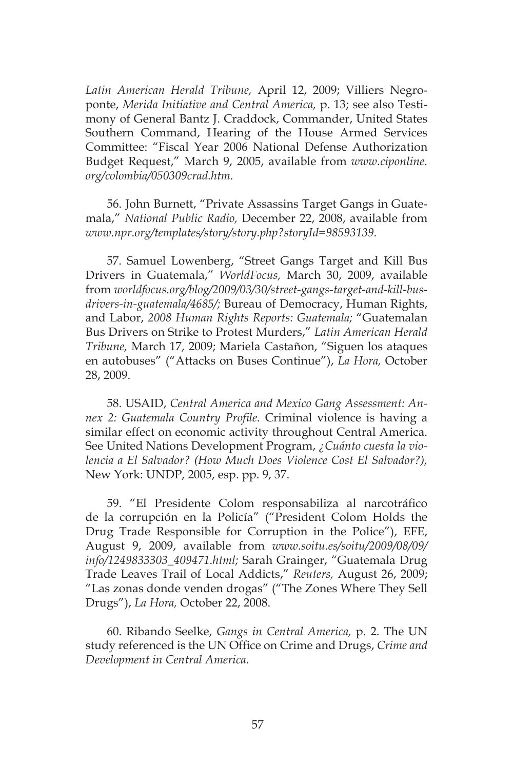*Latin American Herald Tribune,* April 12, 2009; Villiers Negroponte, *Merida Initiative and Central America,* p. 13; see also Testimony of General Bantz J. Craddock, Commander, United States Southern Command, Hearing of the House Armed Services Committee: "Fiscal Year 2006 National Defense Authorization Budget Request," March 9, 2005, available from *www.ciponline. org/colombia/050309crad.htm.* 

56. John Burnett, "Private Assassins Target Gangs in Guatemala," *National Public Radio,* December 22, 2008, available from *www.npr.org/templates/story/story.php?storyId=98593139.* 

57. Samuel Lowenberg, "Street Gangs Target and Kill Bus Drivers in Guatemala," *WorldFocus,* March 30, 2009, available from *worldfocus.org/blog/2009/03/30/street-gangs-target-and-kill-busdrivers-in-guatemala/4685/;* Bureau of Democracy, Human Rights, and Labor, *2008 Human Rights Reports: Guatemala;* "Guatemalan Bus Drivers on Strike to Protest Murders," *Latin American Herald Tribune,* March 17, 2009; Mariela Castañon, "Siguen los ataques en autobuses" ("Attacks on Buses Continue"), *La Hora,* October 28, 2009.

58. USAID, *Central America and Mexico Gang Assessment: Annex 2: Guatemala Country Profile.* Criminal violence is having a similar effect on economic activity throughout Central America. See United Nations Development Program, *¿Cuánto cuesta la violencia a El Salvador? (How Much Does Violence Cost El Salvador?),*  New York: UNDP, 2005, esp. pp. 9, 37.

59. "El Presidente Colom responsabiliza al narcotráfico de la corrupción en la Policía" ("President Colom Holds the Drug Trade Responsible for Corruption in the Police"), EFE, August 9, 2009, available from *www.soitu.es/soitu/2009/08/09/ info/1249833303\_409471.html;* Sarah Grainger, "Guatemala Drug Trade Leaves Trail of Local Addicts," *Reuters,* August 26, 2009; "Las zonas donde venden drogas" ("The Zones Where They Sell Drugs"), *La Hora,* October 22, 2008.

60. Ribando Seelke, *Gangs in Central America,* p. 2. The UN study referenced is the UN Office on Crime and Drugs, *Crime and Development in Central America.*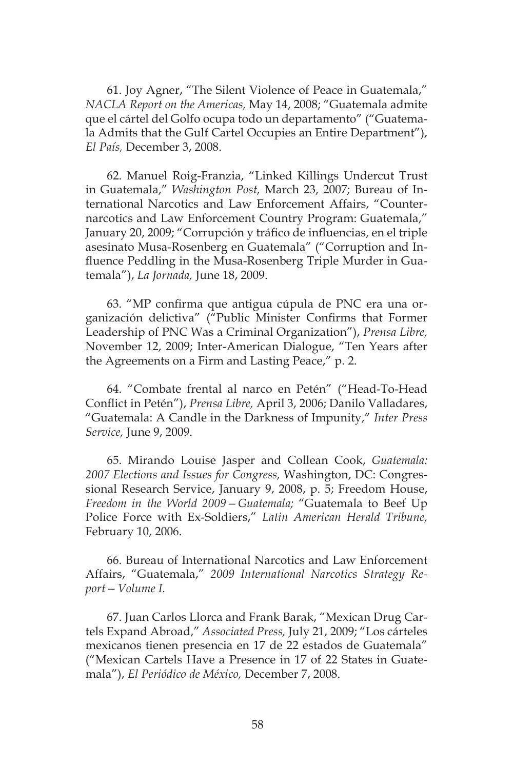61. Joy Agner, "The Silent Violence of Peace in Guatemala," *NACLA Report on the Americas,* May 14, 2008; "Guatemala admite que el cártel del Golfo ocupa todo un departamento" ("Guatemala Admits that the Gulf Cartel Occupies an Entire Department"), *El País,* December 3, 2008.

62. Manuel Roig-Franzia, "Linked Killings Undercut Trust in Guatemala," *Washington Post,* March 23, 2007; Bureau of International Narcotics and Law Enforcement Affairs, "Counternarcotics and Law Enforcement Country Program: Guatemala," January 20, 2009; "Corrupción y tráfico de influencias, en el triple asesinato Musa-Rosenberg en Guatemala" ("Corruption and Influence Peddling in the Musa-Rosenberg Triple Murder in Guatemala"), *La Jornada,* June 18, 2009.

63. "MP confirma que antigua cúpula de PNC era una organización delictiva" ("Public Minister Confirms that Former Leadership of PNC Was a Criminal Organization"), *Prensa Libre,* November 12, 2009; Inter-American Dialogue, "Ten Years after the Agreements on a Firm and Lasting Peace," p. 2.

64. "Combate frental al narco en Petén" ("Head-To-Head Conflict in Petén"), *Prensa Libre,* April 3, 2006; Danilo Valladares, "Guatemala: A Candle in the Darkness of Impunity," *Inter Press Service,* June 9, 2009.

65. Mirando Louise Jasper and Collean Cook, *Guatemala: 2007 Elections and Issues for Congress,* Washington, DC: Congressional Research Service, January 9, 2008, p. 5; Freedom House, *Freedom in the World 2009—Guatemala;* "Guatemala to Beef Up Police Force with Ex-Soldiers," *Latin American Herald Tribune,* February 10, 2006.

66. Bureau of International Narcotics and Law Enforcement Affairs, "Guatemala," *2009 International Narcotics Strategy Report—Volume I.* 

67. Juan Carlos Llorca and Frank Barak, "Mexican Drug Cartels Expand Abroad," *Associated Press,* July 21, 2009; "Los cárteles mexicanos tienen presencia en 17 de 22 estados de Guatemala" ("Mexican Cartels Have a Presence in 17 of 22 States in Guatemala"), *El Periódico de México,* December 7, 2008.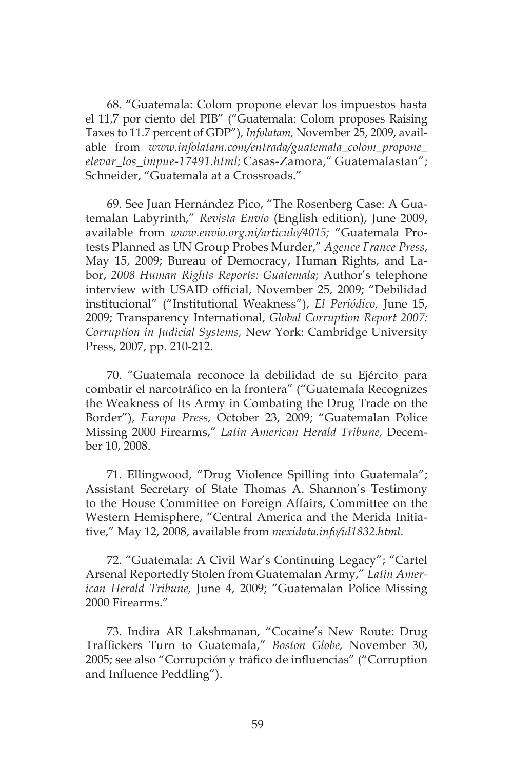68. "Guatemala: Colom propone elevar los impuestos hasta el 11,7 por ciento del PIB" ("Guatemala: Colom proposes Raising Taxes to 11.7 percent of GDP"), *Infolatam,* November 25, 2009, available from *www.infolatam.com/entrada/guatemala\_colom\_propone\_ elevar\_los\_impue-17491.html;* Casas-Zamora," Guatemalastan"; Schneider, "Guatemala at a Crossroads."

69. See Juan Hernández Pico, "The Rosenberg Case: A Guatemalan Labyrinth," *Revista Envío* (English edition), June 2009, available from *www.envio.org.ni/articulo/4015;* "Guatemala Protests Planned as UN Group Probes Murder," *Agence France Press*, May 15, 2009; Bureau of Democracy, Human Rights, and Labor, *2008 Human Rights Reports: Guatemala;* Author's telephone interview with USAID official, November 25, 2009; "Debilidad institucional" ("Institutional Weakness"), *El Periódico,* June 15, 2009; Transparency International, *Global Corruption Report 2007: Corruption in Judicial Systems,* New York: Cambridge University Press, 2007, pp. 210-212.

70. "Guatemala reconoce la debilidad de su Ejército para combatir el narcotráfico en la frontera" ("Guatemala Recognizes the Weakness of Its Army in Combating the Drug Trade on the Border"), *Europa Press,* October 23, 2009; "Guatemalan Police Missing 2000 Firearms," *Latin American Herald Tribune,* December 10, 2008.

71. Ellingwood, "Drug Violence Spilling into Guatemala"; Assistant Secretary of State Thomas A. Shannon's Testimony to the House Committee on Foreign Affairs, Committee on the Western Hemisphere, "Central America and the Merida Initiative," May 12, 2008, available from *mexidata.info/id1832.html.* 

72. "Guatemala: A Civil War's Continuing Legacy"; "Cartel Arsenal Reportedly Stolen from Guatemalan Army," *Latin American Herald Tribune,* June 4, 2009; "Guatemalan Police Missing 2000 Firearms."

73. Indira AR Lakshmanan, "Cocaine's New Route: Drug Traffickers Turn to Guatemala," *Boston Globe,* November 30, 2005; see also "Corrupción y tráfico de influencias" ("Corruption and Influence Peddling").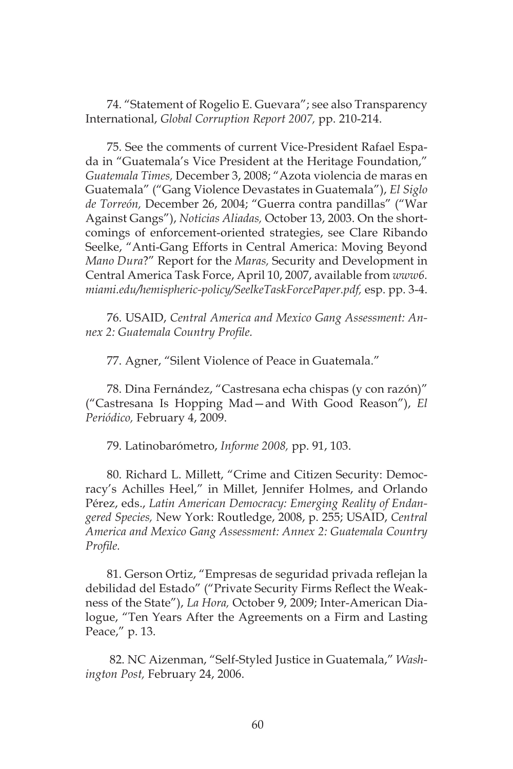74. "Statement of Rogelio E. Guevara"; see also Transparency International, *Global Corruption Report 2007,* pp. 210-214.

75. See the comments of current Vice-President Rafael Espada in "Guatemala's Vice President at the Heritage Foundation," *Guatemala Times,* December 3, 2008; "Azota violencia de maras en Guatemala" ("Gang Violence Devastates in Guatemala"), *El Siglo de Torreón,* December 26, 2004; "Guerra contra pandillas" ("War Against Gangs"), *Noticias Aliadas,* October 13, 2003. On the shortcomings of enforcement-oriented strategies, see Clare Ribando Seelke, "Anti-Gang Efforts in Central America: Moving Beyond *Mano Dura*?" Report for the *Maras,* Security and Development in Central America Task Force, April 10, 2007, available from *www6. miami.edu/hemispheric-policy/SeelkeTaskForcePaper.pdf,* esp. pp. 3-4.

76. USAID, *Central America and Mexico Gang Assessment: Annex 2: Guatemala Country Profile.* 

77. Agner, "Silent Violence of Peace in Guatemala."

78. Dina Fernández, "Castresana echa chispas (y con razón)" ("Castresana Is Hopping Mad—and With Good Reason"), *El Periódico,* February 4, 2009.

79. Latinobarómetro, *Informe 2008,* pp. 91, 103.

80. Richard L. Millett, "Crime and Citizen Security: Democracy's Achilles Heel," in Millet, Jennifer Holmes, and Orlando Pérez, eds., *Latin American Democracy: Emerging Reality of Endangered Species,* New York: Routledge, 2008, p. 255; USAID, *Central America and Mexico Gang Assessment: Annex 2: Guatemala Country Profile.* 

81. Gerson Ortiz, "Empresas de seguridad privada reflejan la debilidad del Estado" ("Private Security Firms Reflect the Weakness of the State"), *La Hora,* October 9, 2009; Inter-American Dialogue, "Ten Years After the Agreements on a Firm and Lasting Peace," p. 13.

 82. NC Aizenman, "Self-Styled Justice in Guatemala," *Washington Post,* February 24, 2006.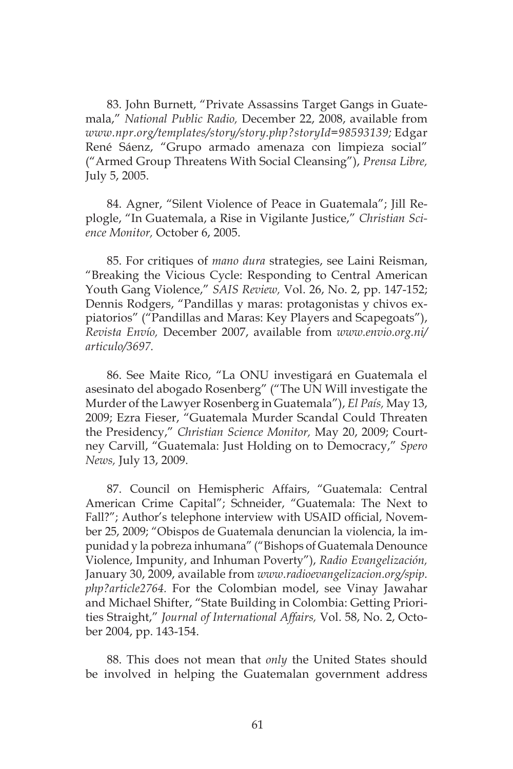83. John Burnett, "Private Assassins Target Gangs in Guatemala," *National Public Radio,* December 22, 2008, available from *www.npr.org/templates/story/story.php?storyId=98593139;* Edgar René Sáenz, "Grupo armado amenaza con limpieza social" ("Armed Group Threatens With Social Cleansing"), *Prensa Libre,* July 5, 2005.

84. Agner, "Silent Violence of Peace in Guatemala"; Jill Replogle, "In Guatemala, a Rise in Vigilante Justice," *Christian Science Monitor,* October 6, 2005.

85. For critiques of *mano dura* strategies, see Laini Reisman, "Breaking the Vicious Cycle: Responding to Central American Youth Gang Violence," *SAIS Review,* Vol. 26, No. 2, pp. 147-152; Dennis Rodgers, "Pandillas y maras: protagonistas y chivos expiatorios" ("Pandillas and Maras: Key Players and Scapegoats"), *Revista Envío,* December 2007, available from *www.envio.org.ni/ articulo/3697.* 

86. See Maite Rico, "La ONU investigará en Guatemala el asesinato del abogado Rosenberg" ("The UN Will investigate the Murder of the Lawyer Rosenberg in Guatemala"), *El País,* May 13, 2009; Ezra Fieser, "Guatemala Murder Scandal Could Threaten the Presidency," *Christian Science Monitor,* May 20, 2009; Courtney Carvill, "Guatemala: Just Holding on to Democracy," *Spero News,* July 13, 2009.

87. Council on Hemispheric Affairs, "Guatemala: Central American Crime Capital"; Schneider, "Guatemala: The Next to Fall?"; Author's telephone interview with USAID official, November 25, 2009; "Obispos de Guatemala denuncian la violencia, la impunidad y la pobreza inhumana" ("Bishops of Guatemala Denounce Violence, Impunity, and Inhuman Poverty"), *Radio Evangelización,* January 30, 2009, available from *www.radioevangelizacion.org/spip. php?article2764.* For the Colombian model, see Vinay Jawahar and Michael Shifter, "State Building in Colombia: Getting Priorities Straight," *Journal of International Affairs,* Vol. 58, No. 2, October 2004, pp. 143-154.

88. This does not mean that *only* the United States should be involved in helping the Guatemalan government address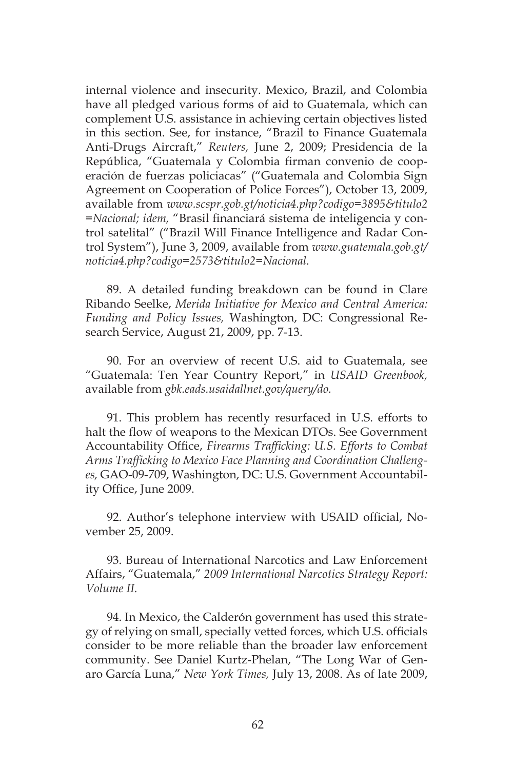internal violence and insecurity. Mexico, Brazil, and Colombia have all pledged various forms of aid to Guatemala, which can complement U.S. assistance in achieving certain objectives listed in this section. See, for instance, "Brazil to Finance Guatemala Anti-Drugs Aircraft," *Reuters,* June 2, 2009; Presidencia de la República, "Guatemala y Colombia firman convenio de cooperación de fuerzas policiacas" ("Guatemala and Colombia Sign Agreement on Cooperation of Police Forces"), October 13, 2009, available from *www.scspr.gob.gt/noticia4.php?codigo=3895&titulo2 =Nacional; idem,* "Brasil financiará sistema de inteligencia y control satelital" ("Brazil Will Finance Intelligence and Radar Control System"), June 3, 2009, available from *www.guatemala.gob.gt/ noticia4.php?codigo=2573&titulo2=Nacional.* 

89. A detailed funding breakdown can be found in Clare Ribando Seelke, *Merida Initiative for Mexico and Central America: Funding and Policy Issues,* Washington, DC: Congressional Research Service, August 21, 2009, pp. 7-13.

90. For an overview of recent U.S. aid to Guatemala, see "Guatemala: Ten Year Country Report," in *USAID Greenbook,*  available from *gbk.eads.usaidallnet.gov/query/do.*

91. This problem has recently resurfaced in U.S. efforts to halt the flow of weapons to the Mexican DTOs. See Government Accountability Office, *Firearms Trafficking: U.S. Efforts to Combat Arms Trafficking to Mexico Face Planning and Coordination Challenges,* GAO-09-709, Washington, DC: U.S. Government Accountability Office, June 2009.

92. Author's telephone interview with USAID official, November 25, 2009.

93. Bureau of International Narcotics and Law Enforcement Affairs, "Guatemala," *2009 International Narcotics Strategy Report: Volume II.* 

94. In Mexico, the Calderón government has used this strategy of relying on small, specially vetted forces, which U.S. officials consider to be more reliable than the broader law enforcement community. See Daniel Kurtz-Phelan, "The Long War of Genaro García Luna," *New York Times,* July 13, 2008. As of late 2009,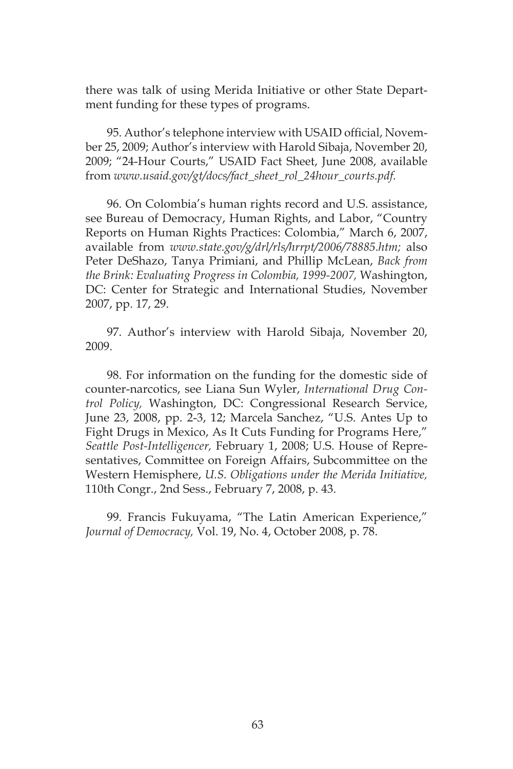there was talk of using Merida Initiative or other State Department funding for these types of programs.

95. Author's telephone interview with USAID official, November 25, 2009; Author's interview with Harold Sibaja, November 20, 2009; "24-Hour Courts," USAID Fact Sheet, June 2008, available from *www.usaid.gov/gt/docs/fact\_sheet\_rol\_24hour\_courts.pdf.* 

96. On Colombia's human rights record and U.S. assistance, see Bureau of Democracy, Human Rights, and Labor, "Country Reports on Human Rights Practices: Colombia," March 6, 2007, available from *www.state.gov/g/drl/rls/hrrpt/2006/78885.htm;* also Peter DeShazo, Tanya Primiani, and Phillip McLean, *Back from the Brink: Evaluating Progress in Colombia, 1999-2007,* Washington, DC: Center for Strategic and International Studies, November 2007, pp. 17, 29.

97. Author's interview with Harold Sibaja, November 20, 2009.

98. For information on the funding for the domestic side of counter-narcotics, see Liana Sun Wyler, *International Drug Control Policy,* Washington, DC: Congressional Research Service, June 23, 2008, pp. 2-3, 12; Marcela Sanchez, "U.S. Antes Up to Fight Drugs in Mexico, As It Cuts Funding for Programs Here," *Seattle Post-Intelligencer,* February 1, 2008; U.S. House of Representatives, Committee on Foreign Affairs, Subcommittee on the Western Hemisphere, *U.S. Obligations under the Merida Initiative,* 110th Congr., 2nd Sess., February 7, 2008, p. 43.

99. Francis Fukuyama, "The Latin American Experience," *Journal of Democracy,* Vol. 19, No. 4, October 2008, p. 78.